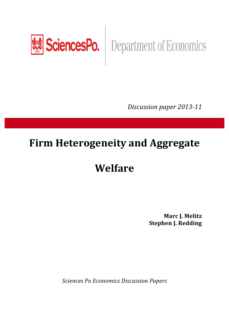

# SciencesPo. | Department of Economics

*Discussion paper 2013-11* 

# **Firm Heterogeneity and Aggregate**

# **Welfare**

**Marc J.%Melitz Stephen J. Redding** 

**Sciences Po Economics Discussion Papers**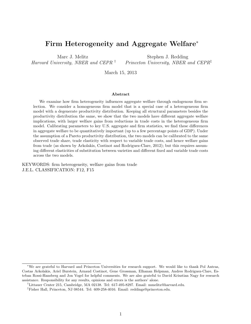# Firm Heterogeneity and Aggregate Welfare<sup>\*</sup>

Marc J. Melitz *Harvard University, NBER and CEPR †*

Stephen J. Redding *Princeton University, NBER and CEPR‡*

March 15, 2013

#### Abstract

We examine how firm heterogeneity influences aggregate welfare through endogenous firm selection. We consider a homogeneous firm model that is a special case of a heterogeneous firm model with a degenerate productivity distribution. Keeping all structural parameters besides the productivity distribution the same, we show that the two models have different aggregate welfare implications, with larger welfare gains from reductions in trade costs in the heterogeneous firm model. Calibrating parameters to key U.S. aggregate and firm statistics, we find these differences in aggregate welfare to be quantitatively important (up to a few percentage points of GDP). Under the assumption of a Pareto productivity distribution, the two models can be calibrated to the same observed trade share, trade elasticity with respect to variable trade costs, and hence welfare gains from trade (as shown by Arkolakis, Costinot and Rodriguez-Clare, 2012); but this requires assuming different elasticities of substitution between varieties and different fixed and variable trade costs across the two models.

KEYWORDS: firm heterogeneity, welfare gains from trade J.E.L. CLASSIFICATION: F12, F15

<sup>⇤</sup>We are grateful to Harvard and Princeton Universities for research support. We would like to thank Pol Antras, Costas Arkolakis, Ariel Burstein, Arnaud Costinot, Gene Grossman, Elhanan Helpman, Andres Rodriguez-Clare, Esteban Rossi-Hansberg and Jon Vogel for helpful comments. We are also grateful to David Krisztian Nagy for research assistance. Responsibility for any results, opinions and errors is the authors' alone.

*<sup>†</sup>*Littauer Center 215, Cambridge, MA 02138. Tel: 617-495-8297. Email: mmelitz@harvard.edu.

*<sup>‡</sup>*Fisher Hall, Princeton, NJ 08544. Tel: 609-258-4016. Email: reddings@princeton.edu.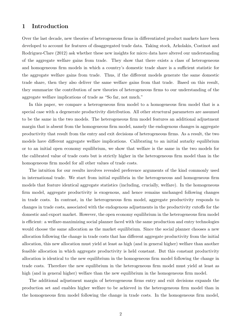# 1 Introduction

Over the last decade, new theories of heterogeneous firms in differentiated product markets have been developed to account for features of disaggregated trade data. Taking stock, Arkolakis, Costinot and Rodriguez-Clare (2012) ask whether these new insights for micro data have altered our understanding of the aggregate welfare gains from trade. They show that there exists a class of heterogeneous and homogeneous firm models in which a country's domestic trade share is a sufficient statistic for the aggregate welfare gains from trade. Thus, if the different models generate the same domestic trade share, then they also deliver the same welfare gains from that trade. Based on this result, they summarize the contribution of new theories of heterogeneous firms to our understanding of the aggregate welfare implications of trade as "So far, not much."

In this paper, we compare a heterogeneous firm model to a homogeneous firm model that is a special case with a degenerate productivity distribution. All other structural parameters are assumed to be the same in the two models. The heterogeneous firm model features an additional adjustment margin that is absent from the homogeneous firm model, namely the endogenous changes in aggregate productivity that result from the entry and exit decisions of heterogeneous firms. As a result, the two models have different aggregate welfare implications. Calibrating to an initial autarky equilibrium or to an initial open economy equilibrium, we show that welfare is the same in the two models for the calibrated value of trade costs but is strictly higher in the heterogeneous firm model than in the homogeneous firm model for all other values of trade costs.

The intuition for our results involves revealed preference arguments of the kind commonly used in international trade. We start from initial equilibria in the heterogeneous and homogeneous firm models that feature identical aggregate statistics (including, crucially, welfare). In the homogeneous firm model, aggregate productivity is exogenous, and hence remains unchanged following changes in trade costs. In contrast, in the heterogeneous firm model, aggregate productivity responds to changes in trade costs, associated with the endogenous adjustments in the productivity cutoffs for the domestic and export market. However, the open economy equilibrium in the heterogeneous firm model is efficient: a welfare-maximizing social planner faced with the same production and entry technologies would choose the same allocation as the market equilibrium. Since the social planner chooses a new allocation following the change in trade costs that has different aggregate productivity from the initial allocation, this new allocation must yield at least as high (and in general higher) welfare than another feasible allocation in which aggregate productivity is held constant. But this constant productivity allocation is identical to the new equilibrium in the homogeneous firm model following the change in trade costs. Therefore the new equilibrium in the heterogeneous firm model must yield at least as high (and in general higher) welfare than the new equilibrium in the homogeneous firm model.

The additional adjustment margin of heterogeneous firms entry and exit decisions expands the production set and enables higher welfare to be achieved in the heterogeneous firm model than in the homogeneous firm model following the change in trade costs. In the homogeneous firm model,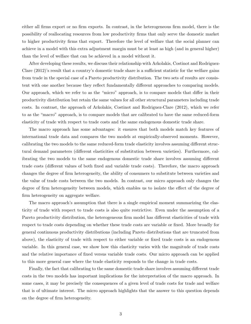either all firms export or no firm exports. In contrast, in the heterogeneous firm model, there is the possibility of reallocating resources from low productivity firms that only serve the domestic market to higher productivity firms that export. Therefore the level of welfare that the social planner can achieve in a model with this extra adjustment margin must be at least as high (and in general higher) than the level of welfare that can be achieved in a model without it.

After developing these results, we discuss their relationship with Arkolakis, Costinot and Rodriguez-Clare  $(2012)$ 's result that a country's domestic trade share is a sufficient statistic for the welfare gains from trade in the special case of a Pareto productivity distribution. The two sets of results are consistent with one another because they reflect fundamentally different approaches to comparing models. Our approach, which we refer to as the "micro" approach, is to compare models that differ in their productivity distribution but retain the same values for all other structural parameters including trade costs. In contrast, the approach of Arkolakis, Costinot and Rodriguez-Clare (2012), which we refer to as the "macro" approach, is to compare models that are calibrated to have the same reduced-form elasticity of trade with respect to trade costs and the same endogenous domestic trade share.

The macro approach has some advantages: it ensures that both models match key features of international trade data and compares the two models at empirically-observed moments. However, calibrating the two models to the same reduced-form trade elasticity involves assuming different structural demand parameters (different elasticities of substitution between varieties). Furthermore, calibrating the two models to the same endogenous domestic trade share involves assuming different trade costs (different values of both fixed and variable trade costs). Therefore, the macro approach changes the degree of firm heterogeneity, the ability of consumers to substitute between varieties and the value of trade costs between the two models. In contrast, our micro approach only changes the degree of firm heterogeneity between models, which enables us to isolate the effect of the degree of firm heterogeneity on aggregate welfare.

The macro approach's assumption that there is a single empirical moment summarizing the elasticity of trade with respect to trade costs is also quite restrictive. Even under the assumption of a Pareto productivity distribution, the heterogeneous firm model has different elasticities of trade with respect to trade costs depending on whether these trade costs are variable or fixed. More broadly for general continuous productivity distributions (including Pareto distributions that are truncated from above), the elasticity of trade with respect to either variable or fixed trade costs is an endogenous variable. In this general case, we show how this elasticity varies with the magnitude of trade costs and the relative importance of fixed versus variable trade costs. Our micro approach can be applied to this more general case where the trade elasticity responds to the change in trade costs.

Finally, the fact that calibrating to the same domestic trade share involves assuming different trade costs in the two models has important implications for the interpretation of the macro approach. In some cases, it may be precisely the consequences of a given level of trade costs for trade and welfare that is of ultimate interest. The micro approach highlights that the answer to this question depends on the degree of firm heterogeneity.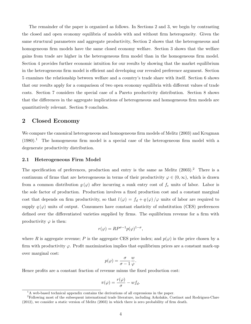The remainder of the paper is organized as follows. In Sections 2 and 3, we begin by contrasting the closed and open economy equilibria of models with and without firm heterogeneity. Given the same structural parameters and aggregate productivity, Section 2 shows that the heterogeneous and homogeneous firm models have the same closed economy welfare. Section 3 shows that the welfare gains from trade are higher in the heterogeneous firm model than in the homogeneous firm model. Section 4 provides further economic intuition for our results by showing that the market equilibrium in the heterogeneous firm model is efficient and developing our revealed preference argument. Section 5 examines the relationship between welfare and a country's trade share with itself. Section 6 shows that our results apply for a comparison of two open economy equilibria with different values of trade costs. Section 7 considers the special case of a Pareto productivity distribution. Section 8 shows that the differences in the aggregate implications of heterogeneous and homogeneous firm models are quantitatively relevant. Section 9 concludes.

### 2 Closed Economy

We compare the canonical heterogeneous and homogeneous firm models of Melitz (2003) and Krugman  $(1980).$ <sup>1</sup> The homogeneous firm model is a special case of the heterogeneous firm model with a degenerate productivity distribution.

#### 2.1 Heterogeneous Firm Model

The specification of preferences, production and entry is the same as Melitz  $(2003).$ <sup>2</sup> There is a continuum of firms that are heterogeneous in terms of their productivity  $\varphi \in (0,\infty)$ , which is drawn from a common distribution  $g(\varphi)$  after incurring a sunk entry cost of  $f_e$  units of labor. Labor is the sole factor of production. Production involves a fixed production cost and a constant marginal cost that depends on firm productivity, so that  $l(\varphi) = f_d + q(\varphi)/\varphi$  units of labor are required to supply  $q(\varphi)$  units of output. Consumers have constant elasticity of substitution (CES) preferences defined over the differentiated varieties supplied by firms. The equilibrium revenue for a firm with productivity  $\varphi$  is then:

$$
r(\varphi) = RP^{\sigma - 1} p(\varphi)^{1 - \sigma},
$$

where *R* is aggregate revenue; *P* is the aggregate CES price index; and  $p(\varphi)$  is the price chosen by a firm with productivity  $\varphi$ . Profit maximization implies that equilibrium prices are a constant mark-up over marginal cost:

$$
p(\varphi) = \frac{\sigma}{\sigma - 1} \frac{w}{\varphi}.
$$

Hence profits are a constant fraction of revenue minus the fixed production cost:

$$
\pi(\varphi) = \frac{r(\varphi)}{\sigma} - w f_d.
$$

 ${}^{1}$ A web-based technical appendix contains the derivations of all expressions in the paper.

<sup>2</sup>Following most of the subsequent international trade literature, including Arkolakis, Costinot and Rodriguez-Clare (2012), we consider a static version of Melitz (2003) in which there is zero probability of firm death.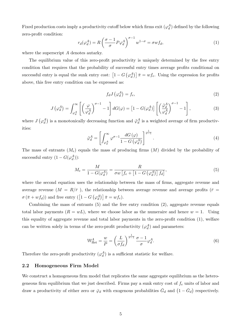Fixed production costs imply a productivity cutoff below which firms exit  $(\varphi_d^A)$  defined by the following zero-profit condition:

$$
r_d(\varphi_d^A) = R \left(\frac{\sigma - 1}{\sigma} P \varphi_d^A\right)^{\sigma - 1} w^{1 - \sigma} = \sigma w f_d,\tag{1}
$$

where the superscript *A* denotes autarky.

The equilibrium value of this zero-profit productivity is uniquely determined by the free entry condition that requires that the probability of successful entry times average profits conditional on successful entry is equal the sunk entry cost:  $\left[1-G\left(\varphi_d^A\right)\right]\bar{\pi} = wf_e$ . Using the expression for profits above, this free entry condition can be expressed as:

$$
f_d J\left(\varphi_d^A\right) = f_e,\tag{2}
$$

$$
J\left(\varphi_d^A\right) = \int_{\varphi_d^A}^{\infty} \left[ \left(\frac{\varphi}{\varphi_d^A}\right)^{\sigma-1} - 1 \right] dG(\varphi) = \left[1 - G(\varphi_d^A)\right] \left[ \left(\frac{\tilde{\varphi}_d^A}{\varphi_d^A}\right)^{\sigma-1} - 1 \right],\tag{3}
$$

where  $J(\varphi_d^A)$  is a monotonically decreasing function and  $\tilde{\varphi}_d^A$  is a weighted average of firm productivities:

$$
\tilde{\varphi}_d^A = \left[ \int_{\varphi_d^A}^{\infty} \varphi^{\sigma - 1} \frac{dG(\varphi)}{1 - G(\varphi_d^A)} \right]^{\frac{1}{\sigma - 1}}.
$$
\n(4)

The mass of entrants (*Me*) equals the mass of producing firms (*M*) divided by the probability of successful entry  $(1 - G(\varphi_d^A))$ :

$$
M_e = \frac{M}{1 - G(\varphi_d^A)} = \frac{R}{\sigma w \left[ f_e + \left[ 1 - G\left(\varphi_d^A\right) \right] f_d \right]},\tag{5}
$$

where the second equation uses the relationship between the mass of firms, aggregate revenue and average revenue ( $M = R/\bar{r}$ ), the relationship between average revenue and average profits ( $\bar{r}$  =  $\sigma(\bar{\pi} + wf_d)$  and free entry  $\left(\left[1-G\left(\varphi_d^A\right)\right]\bar{\pi} = wf_e\right)$ .

Combining the mass of entrants (5) and the free entry condition (2), aggregate revenue equals total labor payments  $(R = wL)$ , where we choose labor as the numeraire and hence  $w = 1$ . Using this equality of aggregate revenue and total labor payments in the zero-profit condition (1), welfare can be written solely in terms of the zero-profit productivity  $(\varphi_d^A)$  and parameters:

$$
\mathbb{W}_{\text{Het}}^{A} = \frac{w}{P} = \left(\frac{L}{\sigma f_d}\right)^{\frac{1}{\sigma - 1}} \frac{\sigma - 1}{\sigma} \varphi_d^A.
$$
\n
$$
(6)
$$

Therefore the zero-profit productivity  $(\varphi_d^A)$  is a sufficient statistic for welfare.

#### 2.2 Homogeneous Firm Model

We construct a homogeneous firm model that replicates the same aggregate equilibrium as the heterogeneous firm equilibrium that we just described. Firms pay a sunk entry cost of *f<sup>e</sup>* units of labor and draw a productivity of either zero or  $\bar{\varphi}_d$  with exogenous probabilities  $\bar{G}_d$  and  $(1 - \bar{G}_d)$  respectively.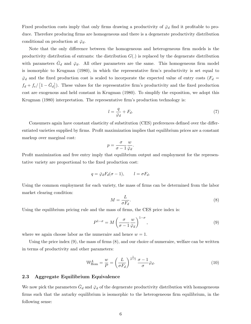Fixed production costs imply that only firms drawing a productivity of  $\bar{\varphi}_d$  find it profitable to produce. Therefore producing firms are homogeneous and there is a degenerate productivity distribution conditional on production at  $\bar{\varphi}_d$ .

Note that the only difference between the homogeneous and heterogeneous firm models is the productivity distribution of entrants: the distribution  $G(.)$  is replaced by the degenerate distribution with parameters  $G_d$  and  $\bar{\varphi}_d$ . All other parameters are the same. This homogeneous firm model is isomorphic to Krugman (1980), in which the representative firm's productivity is set equal to  $\bar{\varphi}_d$  and the fixed production cost is scaled to incorporate the expected value of entry costs ( $F_d$  =  $f_d + f_e / [1 - \bar{G}_d]$ . These values for the representative firm's productivity and the fixed production cost are exogenous and held constant in Krugman (1980). To simplify the exposition, we adopt this Krugman (1980) interpretation. The representative firm's production technology is:

$$
l = \frac{q}{\bar{\varphi}_d} + F_d. \tag{7}
$$

Consumers again have constant elasticity of substitution (CES) preferences defined over the differentiated varieties supplied by firms. Profit maximization implies that equilibrium prices are a constant markup over marginal cost:

$$
p = \frac{\sigma}{\sigma - 1} \frac{w}{\bar{\varphi}_d}.
$$

Profit maximization and free entry imply that equilibrium output and employment for the representative variety are proportional to the fixed production cost:

$$
q = \bar{\varphi}_d F_d(\sigma - 1), \qquad l = \sigma F_d.
$$

Using the common employment for each variety, the mass of firms can be determined from the labor market clearing condition:

$$
M = \frac{L}{\sigma F_d}.\tag{8}
$$

Using the equilibrium pricing rule and the mass of firms, the CES price index is:

$$
P^{1-\sigma} = M \left( \frac{\sigma}{\sigma - 1} \frac{w}{\bar{\varphi}_d} \right)^{1-\sigma},\tag{9}
$$

where we again choose labor as the numeraire and hence  $w = 1$ .

Using the price index (9), the mass of firms (8), and our choice of numeraire, welfare can be written in terms of productivity and other parameters:

$$
\mathbb{W}_{\text{Hom}}^A = \frac{w}{P} = \left(\frac{L}{\sigma F_d}\right)^{\frac{1}{\sigma - 1}} \frac{\sigma - 1}{\sigma} \bar{\varphi}_d. \tag{10}
$$

# 2.3 Aggregate Equilibrium Equivalence

We now pick the parameters  $\bar{G}_d$  and  $\bar{\varphi}_d$  of the degenerate productivity distribution with homogeneous firms such that the autarky equilibrium is isomorphic to the heterogeneous firm equilibrium, in the following sense: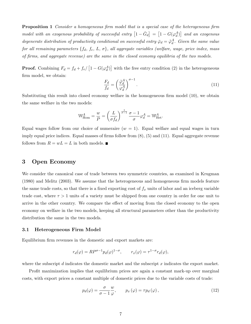Proposition 1 *Consider a homogeneous firm model that is a special case of the heterogeneous firm*  $\textit{model with an exogenous probability of successful entry } \left[1 - \bar{G}_d\right] = \left[1 - G(\varphi_d^A)\right]$  and an exogenous *degenerate distribution of productivity conditional on successful entry*  $\bar{\varphi}_d = \tilde{\varphi}_d^A$ . Given the same value *for all remaining parameters*  $\{f_d, f_e, L, \sigma\}$ , all aggregate variables (welfare, wage, price index, mass *of firms, and aggregate revenue) are the same in the closed economy equilibria of the two models.*

**Proof.** Combining  $F_d = f_d + f_e / [1 - G(\varphi_d^A)]$  with the free entry condition (2) in the heterogeneous firm model, we obtain:

$$
\frac{F_d}{f_d} = \left(\frac{\tilde{\varphi}_d^A}{\varphi_d^A}\right)^{\sigma - 1}.\tag{11}
$$

Substituting this result into closed economy welfare in the homogeneous firm model (10), we obtain the same welfare in the two models:

$$
\mathbb{W}_{\text{Hom}}^A = \frac{w}{P} = \left(\frac{L}{\sigma f_d}\right)^{\frac{1}{\sigma - 1}} \frac{\sigma - 1}{\sigma} \varphi_d^A = \mathbb{W}_{\text{Het}}^A.
$$

Equal wages follow from our choice of numeraire  $(w = 1)$ . Equal welfare and equal wages in turn imply equal price indices. Equal masses of firms follow from (8), (5) and (11). Equal aggregate revenue follows from  $R = wL = L$  in both models.

# 3 Open Economy

We consider the canonical case of trade between two symmetric countries, as examined in Krugman (1980) and Melitz (2003). We assume that the heterogeneous and homogeneous firm models feature the same trade costs, so that there is a fixed exporting cost of  $f_x$  units of labor and an iceberg variable trade cost, where  $\tau > 1$  units of a variety must be shipped from one country in order for one unit to arrive in the other country. We compare the effect of moving from the closed economy to the open economy on welfare in the two models, keeping all structural parameters other than the productivity distribution the same in the two models.

#### 3.1 Heterogeneous Firm Model

Equilibrium firm revenues in the domestic and export markets are:

$$
r_d(\varphi) = R P^{\sigma - 1} p_d(\varphi)^{1 - \sigma}, \qquad r_x(\varphi) = \tau^{1 - \sigma} r_d(\varphi),
$$

where the subscript *d* indicates the domestic market and the subscript *x* indicates the export market.

Profit maximization implies that equilibrium prices are again a constant mark-up over marginal costs, with export prices a constant multiple of domestic prices due to the variable costs of trade:

$$
p_d(\varphi) = \frac{\sigma}{\sigma - 1} \frac{w}{\varphi}, \qquad p_x(\varphi) = \tau p_d(\varphi), \qquad (12)
$$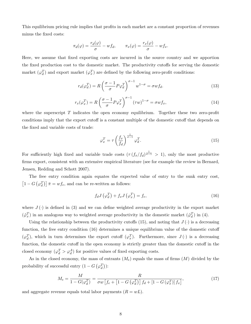This equilibrium pricing rule implies that profits in each market are a constant proportion of revenues minus the fixed costs:

$$
\pi_d(\varphi) = \frac{r_d(\varphi)}{\sigma} - w f_d, \qquad \pi_x(\varphi) = \frac{r_x(\varphi)}{\sigma} - w f_x.
$$

Here, we assume that fixed exporting costs are incurred in the source country and we apportion the fixed production cost to the domestic market. The productivity cutoffs for serving the domestic market  $(\varphi_d^T)$  and export market  $(\varphi_x^T)$  are defined by the following zero-profit conditions:

$$
r_d(\varphi_d^T) = R \left(\frac{\sigma - 1}{\sigma} P \varphi_d^T\right)^{\sigma - 1} w^{1 - \sigma} = \sigma w f_d.
$$
\n(13)

$$
r_x(\varphi_x^T) = R \left( \frac{\sigma - 1}{\sigma} P \varphi_x^T \right)^{\sigma - 1} (\tau w)^{1 - \sigma} = \sigma w f_x,
$$
\n(14)

where the superscript *T* indicates the open economy equilibrium. Together these two zero-profit conditions imply that the export cutoff is a constant multiple of the domestic cutoff that depends on the fixed and variable costs of trade:

$$
\varphi_x^T = \tau \left(\frac{f_x}{f_d}\right)^{\frac{1}{\sigma - 1}} \varphi_d^T.
$$
\n(15)

For sufficiently high fixed and variable trade costs  $(\tau (f_x/f_d)^{\frac{1}{\sigma-1}} > 1)$ , only the most productive firms export, consistent with an extensive empirical literature (see for example the review in Bernard, Jensen, Redding and Schott 2007).

The free entry condition again equates the expected value of entry to the sunk entry cost,  $\left[1-G\left(\varphi_d^T\right)\right]\bar{\pi} = wf_e$ , and can be re-written as follows:

$$
f_d J\left(\varphi_d^T\right) + f_x J\left(\varphi_x^T\right) = f_e,\tag{16}
$$

where  $J(\cdot)$  is defined in (3) and we can define weighted average productivity in the export market  $(\tilde{\varphi}_x^T)$  in an analogous way to weighted average productivity in the domestic market  $(\tilde{\varphi}_d^T)$  in (4).

Using the relationship between the productivity cutoffs (15), and noting that  $J(\cdot)$  is a decreasing function, the free entry condition  $(16)$  determines a unique equilibrium value of the domestic cutoff  $(\varphi_d^T)$ , which in turn determines the export cutoff  $(\varphi_x^T)$ . Furthermore, since  $J(\cdot)$  is a decreasing function, the domestic cutoff in the open economy is strictly greater than the domestic cutoff in the closed economy  $(\varphi_d^T > \varphi_d^A)$  for positive values of fixed exporting costs.

As in the closed economy, the mass of entrants  $(M<sub>e</sub>)$  equals the mass of firms  $(M)$  divided by the probability of successful entry  $(1 - G(\varphi_d^T))$ :

$$
M_e = \frac{M}{1 - G(\varphi_d^T)} = \frac{R}{\sigma w \left[ f_e + \left[ 1 - G\left(\varphi_d^T\right) \right] f_d + \left[ 1 - G\left(\varphi_x^T\right) \right] f_x \right]},\tag{17}
$$

and aggregate revenue equals total labor payments  $(R = wL)$ .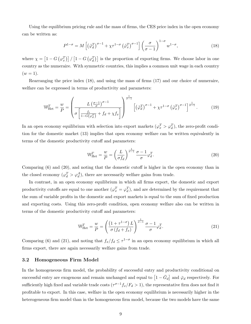Using the equilibrium pricing rule and the mass of firms, the CES price index in the open economy can be written as:

$$
P^{1-\sigma} = M\left[\left(\tilde{\varphi}_d^T\right)^{\sigma-1} + \chi \tau^{1-\sigma} \left(\tilde{\varphi}_x^T\right)^{\sigma-1}\right] \left(\frac{\sigma}{\sigma-1}\right)^{1-\sigma} w^{1-\sigma},\tag{18}
$$

where  $\chi = \left[1 - G\left(\varphi_x^T\right)\right] / \left[1 - G\left(\varphi_d^T\right)\right]$  is the proportion of exporting firms. We choose labor in one country as the numeraire. With symmetric countries, this implies a common unit wage in each country  $(w = 1).$ 

Rearranging the price index (18), and using the mass of firms (17) and our choice of numeraire, welfare can be expressed in terms of productivity and parameters:

$$
\mathbb{W}_{\text{Het}}^T = \frac{w}{P} = \left(\frac{L\left(\frac{\sigma-1}{\sigma}\right)^{\sigma-1}}{\sigma\left[\frac{f_e}{1-G(\varphi_d^T)} + f_d + \chi f_x\right]}\right)^{\frac{1}{\sigma-1}} \left[\left(\tilde{\varphi}_d^T\right)^{\sigma-1} + \chi \tau^{1-\sigma} \left(\tilde{\varphi}_x^T\right)^{\sigma-1}\right]^{\frac{1}{\sigma-1}}.\tag{19}
$$

In an open economy equilibrium with selection into export markets  $(\varphi_x^T > \varphi_d^T)$ , the zero-profit condition for the domestic market (13) implies that open economy welfare can be written equivalently in terms of the domestic productivity cutoff and parameters:

$$
\mathbb{W}_{\text{Het}}^T = \frac{w}{P} = \left(\frac{L}{\sigma f_d}\right)^{\frac{1}{\sigma - 1}} \frac{\sigma - 1}{\sigma} \varphi_d^T. \tag{20}
$$

Comparing  $(6)$  and  $(20)$ , and noting that the domestic cutoff is higher in the open economy than in the closed economy  $(\varphi_d^T > \varphi_d^A)$ , there are necessarily welfare gains from trade.

In contrast, in an open economy equilibrium in which all firms export, the domestic and export productivity cutoffs are equal to one another  $(\varphi_x^T = \varphi_d^T)$ , and are determined by the requirement that the sum of variable profits in the domestic and export markets is equal to the sum of fixed production and exporting costs. Using this zero-profit condition, open economy welfare also can be written in terms of the domestic productivity cutoff and parameters:

$$
\mathbb{W}_{\text{Het}}^T = \frac{w}{P} = \left(\frac{\left(1 + \tau^{1-\sigma}\right)L}{\sigma\left(f_d + f_x\right)}\right)^{\frac{1}{\sigma-1}} \frac{\sigma - 1}{\sigma} \varphi_d^T. \tag{21}
$$

Comparing (6) and (21), and noting that  $f_x/f_d \leq \tau^{1-\sigma}$  in an open economy equilibrium in which all firms export, there are again necessarily welfare gains from trade.

#### 3.2 Homogeneous Firm Model

In the homogeneous firm model, the probability of successful entry and productivity conditional on successful entry are exogenous and remain unchanged and equal to  $\left[1 - \bar{G}_d\right]$  and  $\bar{\varphi}_d$  respectively. For sufficiently high fixed and variable trade costs  $(\tau^{\sigma-1}f_x/F_d > 1)$ , the representative firm does not find it profitable to export. In this case, welfare in the open economy equilibrium is necessarily higher in the heterogeneous firm model than in the homogeneous firm model, because the two models have the same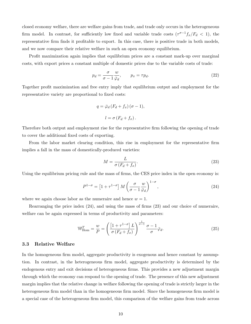closed economy welfare, there are welfare gains from trade, and trade only occurs in the heterogeneous firm model. In contrast, for sufficiently low fixed and variable trade costs  $(\tau^{\sigma-1}f_x/F_d < 1)$ , the representative firm finds it profitable to export. In this case, there is positive trade in both models, and we now compare their relative welfare in such an open economy equilibrium.

Profit maximization again implies that equilibrium prices are a constant mark-up over marginal costs, with export prices a constant multiple of domestic prices due to the variable costs of trade:

$$
p_d = \frac{\sigma}{\sigma - 1} \frac{w}{\bar{\varphi}_d}, \qquad p_x = \tau p_d. \tag{22}
$$

Together profit maximization and free entry imply that equilibrium output and employment for the representative variety are proportional to fixed costs:

$$
q = \bar{\varphi}_d (F_d + f_x) (\sigma - 1),
$$
  

$$
l = \sigma (F_d + f_x).
$$

Therefore both output and employment rise for the representative firm following the opening of trade to cover the additional fixed costs of exporting.

From the labor market clearing condition, this rise in employment for the representative firm implies a fall in the mass of domestically-produced varieties:

$$
M = \frac{L}{\sigma (F_d + f_x)}.\tag{23}
$$

Using the equilibrium pricing rule and the mass of firms, the CES price index in the open economy is:

$$
P^{1-\sigma} = \left[1 + \tau^{1-\sigma}\right] M \left(\frac{\sigma}{\sigma - 1} \frac{w}{\bar{\varphi}_d}\right)^{1-\sigma},\tag{24}
$$

where we again choose labor as the numeraire and hence  $w = 1$ .

Rearranging the price index (24), and using the mass of firms (23) and our choice of numeraire, welfare can be again expressed in terms of productivity and parameters:

$$
\mathbb{W}_{\text{Hom}}^T = \frac{w}{P} = \left(\frac{\left[1 + \tau^{1-\sigma}\right]L}{\sigma\left(F_d + f_x\right)}\right)^{\frac{1}{\sigma-1}} \frac{\sigma - 1}{\sigma} \bar{\varphi}_d. \tag{25}
$$

#### 3.3 Relative Welfare

In the homogeneous firm model, aggregate productivity is exogenous and hence constant by assumption. In contrast, in the heterogeneous firm model, aggregate productivity is determined by the endogenous entry and exit decisions of heterogeneous firms. This provides a new adjustment margin through which the economy can respond to the opening of trade. The presence of this new adjustment margin implies that the relative change in welfare following the opening of trade is strictly larger in the heterogeneous firm model than in the homogeneous firm model. Since the homogeneous firm model is a special case of the heterogeneous firm model, this comparison of the welfare gains from trade across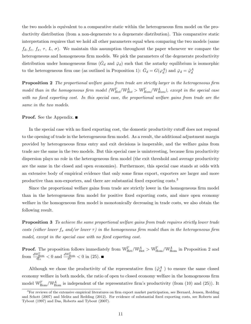the two models is equivalent to a comparative static within the heterogeneous firm model on the productivity distribution (from a non-degenerate to a degenerate distribution). This comparative static interpretation requires that we hold all other parameters equal when comparing the two models (same  $f_d, f_e, f_x, \tau, L, \sigma$ . We maintain this assumption throughout the paper whenever we compare the heterogeneous and homogeneous firm models. We pick the parameters of the degenerate productivity distribution under homogeneous firms  $(\bar{G}_d$  and  $\bar{\varphi}_d$ ) such that the autarky equilibrium is isomorphic to the heterogeneous firm one (as outlined in Proposition 1):  $\bar{G}_d = G(\varphi_d^A)$  and  $\bar{\varphi}_d = \tilde{\varphi}_d^A$ 

Proposition 2 *The proportional welfare gains from trade are strictly larger in the heterogeneous firm model than in the homogeneous firm model* ( $\mathbb{W}_{Het}^T$ ) $\mathbb{W}_{Het}^A$ )  $\mathbb{W}_{Hom}^T$ ), except in the special case *with no fixed exporting cost. In this special case, the proportional welfare gains from trade are the same in the two models.*

#### **Proof.** See the Appendix. ■

In the special case with no fixed exporting cost, the domestic productivity cutoff does not respond to the opening of trade in the heterogeneous firm model. As a result, the additional adjustment margin provided by heterogeneous firms entry and exit decisions is inoperable, and the welfare gains from trade are the same in the two models. But this special case is uninteresting, because firm productivity dispersion plays no role in the heterogeneous firm model (the exit threshold and average productivity are the same in the closed and open economies). Furthermore, this special case stands at odds with an extensive body of empirical evidence that only some firms export, exporters are larger and more productive than non-exporters, and there are substantial fixed exporting costs.<sup>3</sup>

Since the proportional welfare gains from trade are strictly lower in the homogeneous firm model than in the heterogeneous firm model for positive fixed exporting costs, and since open economy welfare in the homogeneous firm model is monotonically decreasing in trade costs, we also obtain the following result.

Proposition 3 *To achieve the same proportional welfare gains from trade requires strictly lower trade costs (either lower*  $f_x$  and/or lower  $\tau$ ) in the homogeneous firm model than in the heterogeneous firm *model, except in the special case with no fixed exporting cost.*

**Proof.** The proposition follows immediately from  $\mathbb{W}_{\text{Het}}^T/\mathbb{W}_{\text{Het}}^A > \mathbb{W}_{\text{Hom}}^T/\mathbb{W}_{\text{Hom}}^A$  in Proposition 2 and from  $\frac{dW_{\text{Hom}}^T}{dt_x} < 0$  and  $\frac{dW_{\text{Hom}}^T}{dt_x} < 0$  in (25).

Although we chose the productivity of the representative firm  $(\tilde{\varphi}_d^A$ ) to ensure the same closed economy welfare in both models, the ratio of open to closed economy welfare in the homogeneous firm model  $\mathbb{W}_{\text{Hom}}^T/\mathbb{W}_{\text{Hom}}^A$  is independent of the representative firm's productivity (from (10) and (25)). It

<sup>&</sup>lt;sup>3</sup>For reviews of the extensive empirical literatures on firm export market participation, see Bernard, Jensen, Redding and Schott (2007) and Melitz and Redding (2012). For evidence of substantial fixed exporting costs, see Roberts and Tybout (1997) and Das, Roberts and Tybout (2007).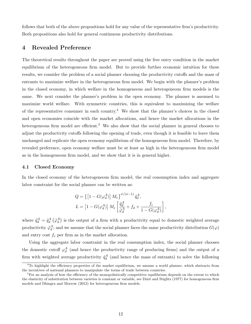follows that both of the above propositions hold for any value of the representative firm's productivity. Both propositions also hold for general continuous productivity distributions.

# 4 Revealed Preference

The theoretical results throughout the paper are proved using the free entry condition in the market equilibrium of the heterogeneous firm model. But to provide further economic intuition for these results, we consider the problem of a social planner choosing the productivity cutoffs and the mass of entrants to maximize welfare in the heterogeneous firm model. We begin with the planner's problem in the closed economy, in which welfare in the homogeneous and heterogeneous firm models is the same. We next consider the planner's problem in the open economy. The planner is assumed to maximize world welfare. With symmetric countries, this is equivalent to maximizing the welfare of the representative consumer in each country.<sup>4</sup> We show that the planner's choices in the closed and open economies coincide with the market allocations, and hence the market allocations in the heterogeneous firm model are efficient.<sup>5</sup> We also show that the social planner in general chooses to adjust the productivity cutoffs following the opening of trade, even though it is feasible to leave them unchanged and replicate the open economy equilibrium of the homogeneous firm model. Therefore, by revealed preference, open economy welfare must be at least as high in the heterogeneous firm model as in the homogeneous firm model, and we show that it is in general higher.

#### 4.1 Closed Economy

In the closed economy of the heterogeneous firm model, the real consumption index and aggregate labor constraint for the social planner can be written as:

$$
Q = \left\{ \left[ 1 - G(\varphi_d^A) \right] M_e \right\}^{\sigma/(\sigma - 1)} \tilde{q}_d^A,
$$
  

$$
L = \left[ 1 - G(\varphi_d^A) \right] M_e \left[ \frac{\tilde{q}_d^A}{\tilde{\varphi}_d^A} + f_d + \frac{f_e}{1 - G(\varphi_d^A)} \right],
$$

where  $\tilde{q}^A_d = \tilde{q}^A_d (\tilde{\varphi}^A_d)$  is the output of a firm with a productivity equal to domestic weighted average productivity  $\tilde{\varphi}_d^A$ ; and we assume that the social planner faces the same productivity distribution  $G(\varphi)$ and entry cost *f<sup>e</sup>* per firm as in the market allocation.

Using the aggregate labor constraint in the real consumption index, the social planner chooses the domestic cutoff  $\varphi_d^A$  (and hence the productivity range of producing firms) and the output of a firm with weighted average productivity  $\tilde{q}^A_d$  (and hence the mass of entrants) to solve the following

<sup>&</sup>lt;sup>4</sup>To highlight the efficiency properties of the market equilibrium, we assume a world planner, which abstracts from the incentives of national planners to manipulate the terms of trade between countries.

 ${}^{5}$  For an analysis of how the efficiency of the monopolistically competitive equilibrium depends on the extent to which the elasticity of substitution between varieties is constant or variable, see Dixit and Stiglitz (1977) for homogeneous firm models and Dhingra and Morrow (2012) for heterogeneous firm models.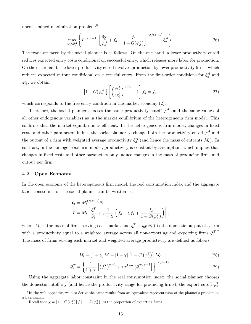unconstrained maximization problem:<sup>6</sup>

$$
\max_{\varphi_d^A, \tilde{q}_d^A} \left\{ L^{\sigma/(\sigma-1)} \left[ \frac{\tilde{q}_d^A}{\tilde{\varphi}_d^A} + f_d + \frac{f_e}{1 - G(\varphi_d^A)} \right]^{-\sigma/(\sigma-1)} \tilde{q}_d^A \right\}.
$$
 (26)

The trade-off faced by the social planner is as follows. On the one hand, a lower productivity cutoff reduces expected entry costs conditional on successful entry, which releases more labor for production. On the other hand, the lower productivity cutoff involves production by lower productivity firms, which reduces expected output conditional on successful entry. From the first-order conditions for  $\tilde{q}^A_d$  and  $\varphi_d^A$ , we obtain:

$$
\[1 - G(\varphi_d^A)\] \left[ \left(\frac{\tilde{\varphi}_d^A}{\varphi_d^A}\right)^{\sigma - 1} - 1 \right] f_d = f_e,\tag{27}
$$

which corresponds to the free entry condition in the market economy (2).

Therefore, the social planner chooses the same productivity cutoff  $\varphi_d^A$  (and the same values of all other endogenous variables) as in the market equilibrium of the heterogeneous firm model. This confirms that the market equilibrium is efficient. In the heterogeneous firm model, changes in fixed costs and other parameters induce the social planner to change both the productivity cutoff  $\varphi_d^A$  and the output of a firm with weighted average productivity  $\tilde{q}^A_d$  (and hence the mass of entrants  $M_e$ ). In contrast, in the homogeneous firm model, productivity is constant by assumption, which implies that changes in fixed costs and other parameters only induce changes in the mass of producing firms and output per firm.

#### 4.2 Open Economy

In the open economy of the heterogeneous firm model, the real consumption index and the aggregate labor constraint for the social planner can be written as:

$$
Q = M_t^{\sigma/(\sigma-1)} \tilde{q}_t^T,
$$
  
\n
$$
L = M_t \left[ \frac{\tilde{q}_t^T}{\tilde{\varphi}_t^T} + \frac{1}{1+\chi} \left( f_d + \chi f_x + \frac{f_e}{1 - G(\varphi_d^T)} \right) \right],
$$

where  $M_t$  is the mass of firms serving each market and  $\tilde{q}_t^T \equiv q_d(\tilde{\varphi}_t^T)$  is the domestic output of a firm with a productivity equal to a weighted average across all non-exporting and exporting firms  $\tilde{\varphi}_t^T$ .<sup>7</sup> The mass of firms serving each market and weighted average productivity are defined as follows:

$$
M_t = \left[1 + \chi\right]M = \left[1 + \chi\right]\left[1 - G\left(\varphi_d^T\right)\right]M_e,\tag{28}
$$

$$
\tilde{\varphi}_t^T = \left\{ \frac{1}{1+\chi} \left[ \left( \tilde{\varphi}_d^T \right)^{\sigma-1} + \chi \tau^{1-\sigma} \left( \tilde{\varphi}_x^T \right)^{\sigma-1} \right] \right\}^{1/(\sigma-1)}.
$$
\n(29)

Using the aggregate labor constraint in the real consumption index, the social planner chooses the domestic cutoff  $\varphi_d^T$  (and hence the productivity range for producing firms), the export cutoff  $\varphi_x^T$ 

 $6$ In the web appendix, we also derive the same results from an equivalent representation of the planner's problem as a Lagrangian.

<sup>&</sup>lt;sup>7</sup>Recall that  $\chi = \left[1 - G\left(\varphi_x^T\right)\right] / \left[1 - G\left(\varphi_d^T\right)\right]$  is the proportion of exporting firms.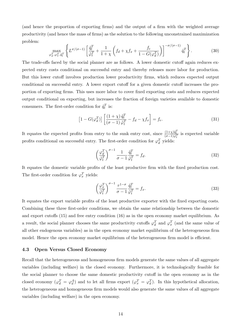(and hence the proportion of exporting firms) and the output of a firm with the weighted average productivity (and hence the mass of firms) as the solution to the following unconstrained maximization problem:

$$
\max_{\varphi_d^T, \varphi_x^T, \tilde{q}_t^T} \left\{ L^{\sigma/(\sigma-1)} \left[ \frac{\tilde{q}_t^T}{\tilde{\varphi}_t^T} + \frac{1}{1+\chi} \left( f_d + \chi f_x + \frac{f_e}{1-G(\varphi_d^T)} \right) \right]^{-\sigma/(\sigma-1)} \tilde{q}_t^T \right\}.
$$
 (30)

The trade-offs faced by the social planner are as follows. A lower domestic cutoff again reduces expected entry costs conditional on successful entry and thereby releases more labor for production. But this lower cutoff involves production lower productivity firms, which reduces expected output conditional on successful entry. A lower export cutoff for a given domestic cutoff increases the proportion of exporting firms. This uses more labor to cover fixed exporting costs and reduces expected output conditional on exporting, but increases the fraction of foreign varieties available to domestic consumers. The first-order condition for  $\tilde{q}^T_t$  is:

$$
\[1 - G(\varphi_d^T)\] \left[ \frac{(1+\chi)\,\tilde{q}_t^T}{(\sigma - 1)\,\tilde{\varphi}_t^T} - f_d - \chi f_x \right] = f_e. \tag{31}
$$

It equates the expected profits from entry to the sunk entry cost, since  $\frac{(1+\chi)\tilde{q}_t^T}{(\sigma-1)\tilde{\varphi}_t^T}$  is expected variable profits conditional on successful entry. The first-order condition for  $\varphi_d^T$  yields:

$$
\left(\frac{\varphi_d^T}{\tilde{\varphi}_t^T}\right)^{\sigma-1} \frac{1}{\sigma-1} \frac{\tilde{q}_t^T}{\tilde{\varphi}_t^T} = f_d.
$$
\n(32)

It equates the domestic variable profits of the least productive firm with the fixed production cost. The first-order condition for  $\varphi_x^T$  yields:

$$
\left(\frac{\varphi_x^T}{\tilde{\varphi}_t^T}\right)^{\sigma-1} \frac{\tau^{1-\sigma}}{\sigma-1} \frac{\tilde{q}_t^T}{\tilde{\varphi}_t^T} = f_x.
$$
\n(33)

It equates the export variable profits of the least productive exporter with the fixed exporting costs. Combining these three first-order conditions, we obtain the same relationship between the domestic and export cutoffs (15) and free entry condition (16) as in the open economy market equilibrium. As a result, the social planner chooses the same productivity cutoffs  $\varphi_d^T$  and  $\varphi_x^T$  (and the same value of all other endogenous variables) as in the open economy market equilibrium of the heterogeneous firm model. Hence the open economy market equilibrium of the heterogeneous firm model is efficient.

#### 4.3 Open Versus Closed Economy

Recall that the heterogeneous and homogeneous firm models generate the same values of all aggregate variables (including welfare) in the closed economy. Furthermore, it is technologically feasible for the social planner to choose the same domestic productivity cutoff in the open economy as in the closed economy  $(\varphi_d^T = \varphi_d^A)$  and to let all firms export  $(\varphi_x^T = \varphi_d^T)$ . In this hypothetical allocation, the heterogeneous and homogeneous firm models would also generate the same values of all aggregate variables (including welfare) in the open economy.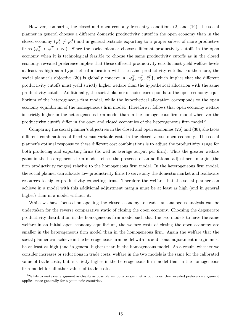However, comparing the closed and open economy free entry conditions (2) and (16), the social planner in general chooses a different domestic productivity cutoff in the open economy than in the closed economy  $(\varphi_d^T \neq \varphi_d^A)$  and in general restricts exporting to a proper subset of more productive firms  $(\varphi_d^T \leq \varphi_x^T \leq \infty)$ . Since the social planner chooses different productivity cutoffs in the open economy when it is technological feasible to choose the same productivity cutoffs as in the closed economy, revealed preference implies that these different productivity cutoffs must yield welfare levels at least as high as a hypothetical allocation with the same productivity cutoffs. Furthermore, the social planner's objective (30) is globally concave in  $\{\varphi_d^T, \varphi_x^T, \tilde{q}_t^T\}$ , which implies that the different productivity cutoffs must yield strictly higher welfare than the hypothetical allocation with the same productivity cutoffs. Additionally, the social planner's choice corresponds to the open economy equilibrium of the heterogeneous firm model, while the hypothetical allocation corresponds to the open economy equilibrium of the homogeneous firm model. Therefore it follows that open economy welfare is strictly higher in the heterogeneous firm model than in the homogeneous firm model whenever the productivity cutoffs differ in the open and closed economies of the heterogeneous firm model.<sup>8</sup>

Comparing the social planner's objectives in the closed and open economies (26) and (30), she faces different combinations of fixed versus variable costs in the closed versus open economy. The social planner's optimal response to these different cost combinations is to adjust the productivity range for both producing and exporting firms (as well as average output per firm). Thus the greater welfare gains in the heterogeneous firm model reflect the presence of an additional adjustment margin (the firm productivity ranges) relative to the homogeneous firm model. In the heterogeneous firm model, the social planner can allocate low-productivity firms to serve only the domestic market and reallocate resources to higher-productivity exporting firms. Therefore the welfare that the social planner can achieve in a model with this additional adjustment margin must be at least as high (and in general higher) than in a model without it.

While we have focused on opening the closed economy to trade, an analogous analysis can be undertaken for the reverse comparative static of closing the open economy. Choosing the degenerate productivity distribution in the homogeneous firm model such that the two models to have the same welfare in an initial open economy equilibrium, the welfare costs of closing the open economy are smaller in the heterogeneous firm model than in the homogeneous firm. Again the welfare that the social planner can achieve in the heterogeneous firm model with its additional adjustment margin must be at least as high (and in general higher) than in the homogeneous model. As a result, whether we consider increases or reductions in trade costs, welfare in the two models is the same for the calibrated value of trade costs, but is strictly higher in the heterogeneous firm model than in the homogeneous firm model for all other values of trade costs.

<sup>&</sup>lt;sup>8</sup>While to make our argument as clearly as possible we focus on symmetric countries, this revealed preference argument applies more generally for asymmetric countries.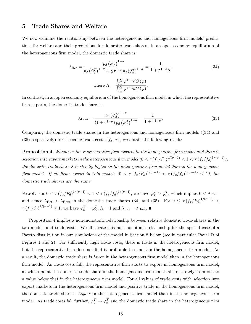# 5 Trade Shares and Welfare

We now examine the relationship between the heterogeneous and homogeneous firm models' predictions for welfare and their predictions for domestic trade shares. In an open economy equilibrium of the heterogeneous firm model, the domestic trade share is:

$$
\lambda_{\text{Het}} = \frac{p_d \left(\tilde{\varphi}_d^T\right)^{1-\sigma}}{p_d \left(\tilde{\varphi}_d^T\right)^{1-\sigma} + \chi \tau^{1-\sigma} p_d \left(\tilde{\varphi}_x^T\right)^{1-\sigma}} = \frac{1}{1 + \tau^{1-\sigma} \Lambda},\tag{34}
$$
\n
$$
\text{where } \Lambda = \frac{\int_{\varphi_x^T}^{\infty} \varphi^{\sigma-1} dG \left(\varphi\right)}{\int_{\varphi_d^T}^{\infty} \varphi^{\sigma-1} dG \left(\varphi\right)}.
$$

In contrast, in an open economy equilibrium of the homogeneous firm model in which the representative firm exports, the domestic trade share is:

$$
\lambda_{\text{Hom}} = \frac{p_d \left(\tilde{\varphi}_d^A\right)^{1-\sigma}}{\left(1 + \tau^{1-\sigma}\right) p_d \left(\tilde{\varphi}_d^A\right)^{1-\sigma}} = \frac{1}{1 + \tau^{1-\sigma}}.\tag{35}
$$

Comparing the domestic trade shares in the heterogeneous and homogeneous firm models ((34) and (35) respectively) for the same trade costs  $\{f_x, \tau\}$ , we obtain the following result:

Proposition 4 *Whenever the representative firm exports in the homogeneous firm model and there is*  $s^{e}}$  (*fx*<sup>*/fa*</sup>)<sup> $1/(\sigma-1)$ </sup>,  $\sigma$  +  $t^{f}$ ),  $t^{f}$  (*fx*<sup>*t*</sup>)<sup> $f$ </sup>),  $t^{f}$  (*fx*<sup>*t*</sup>)<sup> $f$ </sup>),  $t^{f}$ *the domestic trade share*  $\lambda$  *is strictly higher in the heterogeneous firm model than in the homogeneous firm model. If all firms export in both models*  $(0 \leq \tau (f_x/F_d)^{1/(\sigma-1)} < \tau (f_x/f_d)^{1/(\sigma-1)} \leq 1$ *, the domestic trade shares are the same.*

**Proof.** For  $0 < \tau (f_x/F_d)^{1/(\sigma-1)} < 1 < \tau (f_x/f_d)^{1/(\sigma-1)}$ , we have  $\varphi_x^T > \varphi_d^T$ , which implies  $0 < \Lambda < 1$ and hence  $\lambda_{\text{Het}} > \lambda_{\text{Hom}}$  in the domestic trade shares (34) and (35). For  $0 \leq \tau (f_x/F_d)^{1/(\sigma-1)}$  $\tau (f_x/f_d)^{1/(\sigma-1)} \leq 1$ , we have  $\varphi_x^T = \varphi_d^T$ ,  $\Lambda = 1$  and  $\lambda_{\text{Het}} = \lambda_{\text{Hom}}$ .

Proposition 4 implies a non-monotonic relationship between relative domestic trade shares in the two models and trade costs. We illustrate this non-monotonic relationship for the special case of a Pareto distribution in our simulations of the model in Section 8 below (see in particular Panel D of Figures 1 and 2). For sufficiently high trade costs, there is trade in the heterogeneous firm model, but the representative firm does not find it profitable to export in the homogeneous firm model. As a result, the domestic trade share is *lower* in the heterogeneous firm model than in the homogeneous firm model. As trade costs fall, the representative firm starts to export in homogeneous firm model, at which point the domestic trade share in the homogeneous firm model falls discretely from one to a value below that in the heterogeneous firm model. For all values of trade costs with selection into export markets in the heterogeneous firm model and positive trade in the homogeneous firm model, the domestic trade share is *higher* in the heterogeneous firm model than in the homogeneous firm model. As trade costs fall further,  $\varphi_d^T \to \varphi_x^T$  and the domestic trade share in the heterogeneous firm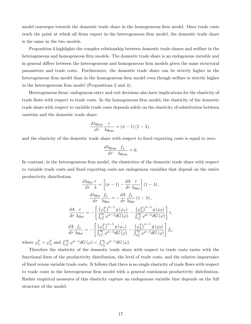model converges towards the domestic trade share in the homogeneous firm model. Once trade costs reach the point at which all firms export in the heterogeneous firm model, the domestic trade share is the same in the two models.

Proposition 4 highlights the complex relationship between domestic trade shares and welfare in the heterogeneous and homogeneous firm models. The domestic trade share is an endogenous variable and in general differs between the heterogeneous and homogeneous firm models given the same structural parameters and trade costs. Furthermore, the domestic trade share can be strictly higher in the heterogeneous firm model than in the homogeneous firm model even though welfare is strictly higher in the heterogeneous firm model (Propositions 2 and 4).

Heterogeneous firms' endogenous entry and exit decisions also have implications for the elasticity of trade flows with respect to trade costs. In the homogeneous firm model, the elasticity of the domestic trade share with respect to variable trade costs depends solely on the elasticity of substitution between varieties and the domestic trade share:

$$
\frac{d\lambda_{\text{Hom}}}{d\tau}\frac{\tau}{\lambda_{\text{Hom}}} = (\sigma - 1) (1 - \lambda),
$$

and the elasticity of the domestic trade share with respect to fixed exporting costs is equal to zero:

$$
\frac{d\lambda_{\text{Hom}}}{d\tau} \frac{f_x}{\lambda_{\text{Hom}}} = 0.
$$

In contrast, in the heterogeneous firm model, the elasticities of the domestic trade share with respect to variable trade costs and fixed exporting costs are endogenous variables that depend on the entire productivity distribution:

$$
\frac{d\lambda_{\text{Het}}}{d\tau} \frac{\tau}{\lambda} = \left[ (\sigma - 1) - \frac{d\Lambda}{d\tau} \frac{\tau}{\lambda_{\text{Het}}} \right] (1 - \lambda),
$$
\n
$$
\frac{d\lambda_{\text{Het}}}{d\tau} \frac{f_x}{\lambda_{\text{Het}}} = -\frac{d\Lambda}{d\tau} \frac{f_x}{\lambda_{\text{Het}}} (1 - \lambda),
$$
\n
$$
\frac{d\Lambda}{d\tau} \frac{\tau}{\lambda_{\text{Het}}} = -\left[ \frac{(\varphi_x^T)^{\sigma - 1} g(\varphi_x)}{\int_{\varphi_x^T}^{\infty} \varphi^{\sigma - 1} dG(\varphi)} - \frac{(\varphi_d^T)^{\sigma - 1} g(\varphi_d)}{\int_{\varphi_d^T}^{\infty} \varphi^{\sigma - 1} dG(\varphi)} \right] \tau,
$$
\n
$$
\frac{d\Lambda}{d\tau} \frac{f_x}{\lambda_{\text{Het}}} = -\left[ \frac{(\varphi_x^T)^{\sigma - 1} g(\varphi_x)}{\int_{\varphi_x^T}^{\infty} \varphi^{\sigma - 1} dG(\varphi)} - \frac{(\varphi_d^T)^{\sigma - 1} g(\varphi_d)}{\int_{\varphi_d^T}^{\infty} \varphi^{\sigma - 1} dG(\varphi)} \right] f_x,
$$

where  $\varphi_x^T > \varphi_d^T$  and  $\int_{\varphi_x^T}^{\infty} \varphi^{\sigma-1} dG (\varphi) < \int_{\varphi_d^T}^{\infty} \varphi^{\sigma-1} dG (\varphi)$ .

Therefore the elasticity of the domestic trade share with respect to trade costs varies with the functional form of the productivity distribution, the level of trade costs, and the relative importance of fixed versus variable trade costs. It follows that there is no single elasticity of trade flows with respect to trade costs in the heterogeneous firm model with a general continuous productivity distribution. Rather empirical measures of this elasticity capture an endogenous variable that depends on the full structure of the model.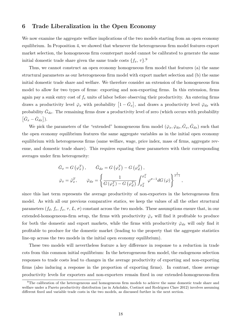# 6 Trade Liberalization in the Open Economy

We now examine the aggregate welfare implications of the two models starting from an open economy equilibrium. In Proposition 4, we showed that whenever the heterogeneous firm model features export market selection, the homogeneous firm counterpart model cannot be calibrated to generate the same initial domestic trade share given the same trade costs  $\{f_x, \tau\}$ <sup>9</sup>

Thus, we cannot construct an open economy homogeneous firm model that features (a) the same structural parameters as our heterogeneous firm model with export market selection and (b) the same initial domestic trade share and welfare. We therefore consider an extension of the homogeneous firm model to allow for two types of firms: exporting and non-exporting firms. In this extension, firms again pay a sunk entry cost of  $f_e$  units of labor before observing their productivity. An entering firms draws a productivity level  $\bar{\varphi}_x$  with probability  $\left[1-\bar{G}_x\right]$ , and draws a productivity level  $\bar{\varphi}_{dx}$  with probability  $\bar{G}_{dx}$ . The remaining firms draw a productivity level of zero (which occurs with probability  $\left[\bar{G}_x - \bar{G}_{dx}\right]$ ).

We pick the parameters of the "extended" homogeneous firm model  $(\bar{\varphi}_x, \bar{\varphi}_{dx}, \bar{G}_x, \bar{G}_{dx})$  such that the open economy equilibrium features the same aggregate variables as in the initial open economy equilibrium with heterogeneous firms (same welfare, wage, price index, mass of firms, aggregate revenue, and domestic trade share). This requires equating these parameters with their corresponding averages under firm heterogeneity:

$$
\bar{G}_x = G(\varphi_x^T), \qquad \bar{G}_{dx} = G(\varphi_x^T) - G(\varphi_d^T),
$$
  

$$
\bar{\varphi}_x = \tilde{\varphi}_x^T, \qquad \bar{\varphi}_{dx} = \left\{ \frac{1}{G(\varphi_x^T) - G(\varphi_d^T)} \int_{\varphi_d^T}^{\varphi_x^T} \varphi^{\sigma-1} dG(\varphi) \right\}^{\frac{1}{\sigma-1}},
$$

since this last term represents the average productivity of non-exporters in the heterogeneous firm model. As with all our previous comparative statics, we keep the values of all the other structural parameters  $(f_d, f_e, f_x, \tau, L, \sigma)$  constant across the two models. These assumptions ensure that, in our extended-homogeneous-firm setup, the firms with productivity  $\bar{\varphi}_x$  will find it profitable to produce for both the domestic and export markets, while the firms with productivity  $\bar{\varphi}_{dx}$  will only find it profitable to produce for the domestic market (leading to the property that the aggregate statistics line-up across the two models in the initial open economy equilibrium).

These two models will nevertheless feature a key difference in response to a reduction in trade cots from this common initial equilibrium: In the heterogeneous firm model, the endogenous selection responses to trade costs lead to changes in the average productivity of exporting and non-exporting firms (also inducing a response in the proportion of exporting firms). In contrast, those average productivity levels for exporters and non-exporters remain fixed in our extended-homogeneous-firm

<sup>&</sup>lt;sup>9</sup>The calibration of the heterogeneous and homogeneous firm models to achieve the same domestic trade share and welfare under a Pareto productivity distribution (as in Arkolakis, Costinot and Rodriguez Clare 2012) involves assuming different fixed and variable trade costs in the two models, as discussed further in the next section.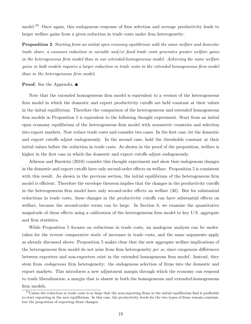model.<sup>10</sup> Once again, this endogenous response of firm selection and average productivity leads to larger welfare gains from a given reduction in trade costs under firm heterogeneity:

Proposition 5 *Starting from an initial open economy equilibrium with the same welfare and domestic trade share, a common reduction in variable and/or fixed trade costs generates greater welfare gains in the heterogeneous firm model than in our extended-homogeneous model. Achieving the same welfare gains in both models requires a larger reduction in trade costs in the extended homogeneous firm model than in the heterogeneous firm model.*

#### **Proof.** See the Appendix. ■

Note that the extended homogeneous firm model is equivalent to a version of the heterogeneous firm model in which the domestic and export productivity cutoffs are held constant at their values in the initial equilibrium. Therefore the comparison of the heterogeneous and extended homogeneous firm models in Proposition 5 is equivalent to the following thought experiment. Start from an initial open economy equilibrium of the heterogeneous firm model with symmetric countries and selection into export markets. Now reduce trade costs and consider two cases. In the first case, let the domestic and export cutoffs adjust endogenously. In the second case, hold the thresholds constant at their initial values before the reduction in trade costs. As shown in the proof of the proposition, welfare is higher in the first case in which the domestic and export cutoffs adjust endogenously.

Atkeson and Burstein (2010) consider this thought experiment and show that endogenous changes in the domestic and export cutoffs have only second-order effects on welfare. Proposition 5 is consistent with this result. As shown in the previous section, the initial equilibrium of the heterogeneous firm model is efficient. Therefore the envelope theorem implies that the changes in the productivity cutoffs in the heterogeneous firm model have only second-order effects on welfare  $(30)$ . But for substantial reductions in trade costs, these changes in the productivity cutoffs can have substantial effects on welfare, because the second-order terms can be large. In Section 8, we examine the quantitative magnitude of these effects using a calibration of the heterogeneous firm model to key U.S. aggregate and firm statistics.

While Proposition 5 focuses on reductions in trade costs, an analogous analysis can be undertaken for the reverse comparative static of increases in trade costs, and the same arguments apply as already discussed above. Proposition 5 makes clear that the new aggregate welfare implications of the heterogeneous firm model do not arise from firm heterogeneity *per se*, since exogenous differences between exporters and non-exporters exist in the extended homogeneous firm model. Instead, they stem from *endogenous* firm heterogeneity: the endogenous selection of firms into the domestic and export markets. This introduces a new adjustment margin through which the economy can respond to trade liberalization; a margin that is absent in both the homogeneous and extended-homogeneous firm models.

 $10$ Unless the reduction in trade costs is so large that the non-exporting firms in the initial equilibrium find it profitable to start exporting in the new equilibrium. In this case, the productivity levels for the two types of firms remain constant, but the proportion of exporting firms changes.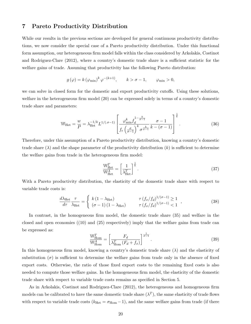# 7 Pareto Productivity Distribution

While our results in the previous sections are developed for general continuous productivity distributions, we now consider the special case of a Pareto productivity distribution. Under this functional form assumption, our heterogeneous firm model falls within the class considered by Arkolakis, Costinot and Rodriguez-Clare (2012), where a country's domestic trade share is a sufficient statistic for the welfare gains of trade. Assuming that productivity has the following Pareto distribution:

$$
g(\varphi) = k(\varphi_{\min})^k \varphi^{-(k+1)}, \qquad k > \sigma - 1, \qquad \varphi_{\min} > 0,
$$

we can solve in closed form for the domestic and export productivity cutoffs. Using these solutions, welfare in the heterogeneous firm model (20) can be expressed solely in terms of a country's domestic trade share and parameters:

$$
\mathbb{W}_{\text{Het}} = \frac{w}{P} = \lambda_{\text{Het}}^{-1/k} L^{1/(\sigma-1)} \left[ \frac{\varphi_{\text{min}}^k f_d^{1-\frac{k}{\sigma-1}}}{f_e \left(\frac{\sigma}{\sigma-1}\right)^k \sigma^{\frac{k}{\sigma-1}} k - (\sigma - 1)} \right]^{\frac{1}{k}}.
$$
\n(36)

Therefore, under this assumption of a Pareto productivity distribution, knowing a country's domestic trade share  $(\lambda)$  and the shape parameter of the productivity distribution  $(k)$  is sufficient to determine the welfare gains from trade in the heterogeneous firm model:

$$
\frac{\mathbb{W}_{\text{Het}}^T}{\mathbb{W}_{\text{Het}}^A} = \left[\frac{1}{\lambda_{\text{Het}}^T}\right]^{\frac{1}{k}}.
$$
\n(37)

With a Pareto productivity distribution, the elasticity of the domestic trade share with respect to variable trade costs is:

$$
\frac{d\lambda_{\text{Het}}}{d\tau} \frac{\tau}{\lambda_{\text{Het}}} = \begin{cases} k\left(1 - \lambda_{\text{Het}}\right) & \tau\left(f_x/f_d\right)^{1/(\sigma - 1)} \ge 1\\ \left(\sigma - 1\right)\left(1 - \lambda_{\text{Het}}\right) & \tau\left(f_x/f_d\right)^{1/(\sigma - 1)} < 1 \end{cases},\tag{38}
$$

In contrast, in the homogeneous firm model, the domestic trade share (35) and welfare in the closed and open economies  $(10)$  and  $(25)$  respectively) imply that the welfare gains from trade can be expressed as:

$$
\frac{\mathbb{W}_{\text{Hom}}^T}{\mathbb{W}_{\text{Hom}}^A} = \left[ \frac{F_d}{\lambda_{\text{Hom}}^T (F_d + f_x)} \right]^{\frac{1}{\sigma - 1}}.
$$
\n(39)

In this homogeneous firm model, knowing a country's domestic trade share  $(\lambda)$  and the elasticity of substitution  $(\sigma)$  is sufficient to determine the welfare gains from trade only in the absence of fixed export costs. Otherwise, the ratio of those fixed export costs to the remaining fixed costs is also needed to compute those welfare gains. In the homogeneous firm model, the elasticity of the domestic trade share with respect to variable trade costs remains as specified in Section 5.

As in Arkolakis, Costinot and Rodriguez-Clare (2012), the heterogeneous and homogeneous firm models can be calibrated to have the same domestic trade share  $(\lambda^T)$ , the same elasticity of trade flows with respect to variable trade costs ( $k_{\text{Het}} = \sigma_{\text{Hom}} - 1$ ), and the same welfare gains from trade (if there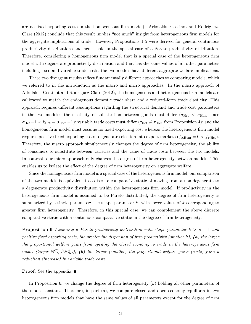are no fixed exporting costs in the homogeneous firm model). Arkolakis, Costinot and Rodriguez-Clare (2012) conclude that this result implies "not much" insight from heterogeneous firm models for the aggregate implications of trade. However, Propositions 1-5 were derived for general continuous productivity distributions and hence hold in the special case of a Pareto productivity distribution. Therefore, considering a homogeneous firm model that is a special case of the heterogeneous firm model with degenerate productivity distribution and that has the same values of all other parameters including fixed and variable trade costs, the two models have different aggregate welfare implications.

These two divergent results reflect fundamentally different approaches to comparing models, which we referred to in the introduction as the macro and micro approaches. In the macro approach of Arkolakis, Costinot and Rodriguez-Clare (2012), the homogeneous and heterogeneous firm models are calibrated to match the endogenous domestic trade share and a reduced-form trade elasticity. This approach requires different assumptions regarding the structural demand and trade cost parameters in the two models: the elasticity of substitution between goods must differ ( $\sigma_{\rm Het}$   $\langle \sigma_{\rm Hom}$  since  $\sigma_{\text{Het}}-1 < k_{\text{Het}} = \sigma_{\text{Hom}}-1$ ); variable trade costs must differ ( $\tau_{\text{Het}} \neq \tau_{\text{Hom}}$  from Proposition 4); and the homogeneous firm model must assume no fixed exporting cost whereas the heterogeneous firm model requires positive fixed exporting costs to generate selection into export markets  $(f_{x,\text{Hom}} = 0 < f_{x,\text{Het}})$ . Therefore, the macro approach simultaneously changes the degree of firm heterogeneity, the ability of consumers to substitute between varieties and the value of trade costs between the two models. In contrast, our micro approach only changes the degree of firm heterogeneity between models. This enables us to isolate the effect of the degree of firm heterogeneity on aggregate welfare.

Since the homogeneous firm model is a special case of the heterogeneous firm model, our comparison of the two models is equivalent to a discrete comparative static of moving from a non-degenerate to a degenerate productivity distribution within the heterogeneous firm model. If productivity in the heterogeneous firm model is assumed to be Pareto distributed, the degree of firm heterogeneity is summarized by a single parameter: the shape parameter *k*, with lower values of *k* corresponding to greater firm heterogeneity. Therefore, in this special case, we can complement the above discrete comparative static with a continuous comparative static in the degree of firm heterogeneity.

**Proposition 6** Assuming a Pareto productivity distribution with shape parameter  $k > \sigma - 1$  and *positive fixed exporting costs, the greater the dispersion of firm productivity (smaller k), (a) the larger the proportional welfare gains from opening the closed economy to trade in the heterogeneous firm model (larger*  $\mathbb{W}_{Het}^T/\mathbb{W}_{Het}^A$ ), (b) the larger (smaller) the proportional welfare gains (costs) from a *reduction (increase) in variable trade costs.*

#### **Proof.** See the appendix. ■

In Proposition 6, we change the degree of firm heterogeneity (*k*) holding all other parameters of the model constant. Therefore, in part (a), we compare closed and open economy equilibria in two heterogeneous firm models that have the same values of all parameters except for the degree of firm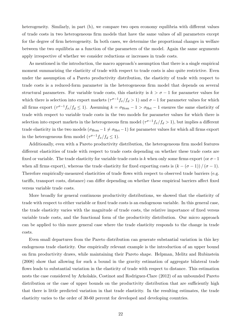heterogeneity. Similarly, in part (b), we compare two open economy equilibria with different values of trade costs in two heterogeneous firm models that have the same values of all parameters except for the degree of firm heterogeneity. In both cases, we determine the proportional changes in welfare between the two equilibria as a function of the parameters of the model. Again the same arguments apply irrespective of whether we consider reductions or increases in trade costs.

As mentioned in the introduction, the macro approach's assumption that there is a single empirical moment summarizing the elasticity of trade with respect to trade costs is also quite restrictive. Even under the assumption of a Pareto productivity distribution, the elasticity of trade with respect to trade costs is a reduced-form parameter in the heterogeneous firm model that depends on several structural parameters. For variable trade costs, this elasticity is  $k > \sigma - 1$  for parameter values for which there is selection into export markets  $(\tau^{\sigma-1} f_x/f_d > 1)$  and  $\sigma - 1$  for parameter values for which all firms export  $({\tau}^{\sigma-1} f_x/f_d \le 1)$ . Assuming  $k = \sigma_{\text{Hom}} - 1 > \sigma_{\text{Het}} - 1$  ensures the same elasticity of trade with respect to variable trade costs in the two models for parameter values for which there is selection into export markets in the heterogeneous firm model  $(\tau^{\sigma-1} f_x/f_d > 1)$ , but implies a different trade elasticity in the two models  $(\sigma_{\text{Hom}}-1 \neq \sigma_{\text{Het}}-1)$  for parameter values for which all firms export in the heterogeneous firm model  $(\tau^{\sigma-1} f_x/f_d \leq 1)$ .

Additionally, even with a Pareto productivity distribution, the heterogeneous firm model features different elasticities of trade with respect to trade costs depending on whether these trade costs are fixed or variable. The trade elasticity for variable trade costs is k when only some firms export (or  $\sigma-1$ when all firms export), whereas the trade elasticity for fixed exporting costs is  $(k - (\sigma - 1)) / (\sigma - 1)$ . Therefore empirically-measured elasticities of trade flows with respect to observed trade barriers (e.g. tariffs, transport costs, distance) can differ depending on whether these empirical barriers affect fixed versus variable trade costs.

More broadly for general continuous productivity distributions, we showed that the elasticity of trade with respect to either variable or fixed trade costs is an endogenous variable. In this general case, the trade elasticity varies with the magnitude of trade costs, the relative importance of fixed versus variable trade costs, and the functional form of the productivity distribution. Our micro approach can be applied to this more general case where the trade elasticity responds to the change in trade costs.

Even small departures from the Pareto distribution can generate substantial variation in this key endogenous trade elasticity. One empirically relevant example is the introduction of an upper bound on firm productivity draws, while maintaining their Pareto shape. Helpman, Melitz and Rubinstein (2008) show that allowing for such a bound in the gravity estimation of aggregate bilateral trade flows leads to substantial variation in the elasticity of trade with respect to distance. This estimation nests the case considered by Arkolakis, Costinot and Rodriguez-Clare (2012) of an unbounded Pareto distribution or the case of upper bounds on the productivity distribution that are sufficiently high that there is little predicted variation in that trade elasticity. In the resulting estimates, the trade elasticity varies to the order of 30-60 percent for developed and developing countries.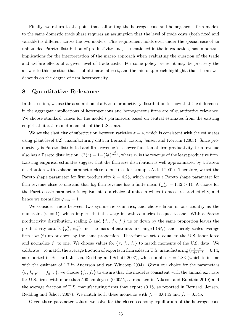Finally, we return to the point that calibrating the heterogeneous and homogeneous firm models to the same domestic trade share requires an assumption that the level of trade costs (both fixed and variable) is different across the two models. This requirement holds even under the special case of an unbounded Pareto distribution of productivity and, as mentioned in the introduction, has important implications for the interpretation of the macro approach when evaluating the question of the trade and welfare effects of a given level of trade costs. For some policy issues, it may be precisely the answer to this question that is of ultimate interest, and the micro approach highlights that the answer depends on the degree of firm heterogeneity.

# 8 Quantitative Relevance

In this section, we use the assumption of a Pareto productivity distribution to show that the differences in the aggregate implications of heterogeneous and homogeneous firms are of quantitative relevance. We choose standard values for the model's parameters based on central estimates from the existing empirical literature and moments of the U.S. data.

We set the elasticity of substitution between varieties  $\sigma = 4$ , which is consistent with the estimates using plant-level U.S. manufacturing data in Bernard, Eaton, Jensen and Kortum (2003). Since productivity is Pareto distributed and firm revenue is a power function of firm productivity, firm revenue also has a Pareto distribution:  $G(r) = 1 - \left(\frac{r_d}{r}\right)^{\frac{k}{\sigma-1}}$ , where  $r_d$  is the revenue of the least productive firm. Existing empirical estimates suggest that the firm size distribution is well approximated by a Pareto distribution with a shape parameter close to one (see for example Axtell 2001). Therefore, we set the Pareto shape parameter for firm productivity  $k = 4.25$ , which ensures a Pareto shape parameter for firm revenue close to one and that log firm revenue has a finite mean  $(\frac{k}{\sigma-1} = 1.42 > 1)$ . A choice for the Pareto scale parameter is equivalent to a choice of units in which to measure productivity, and hence we normalize  $\varphi_{\min} = 1$ .

We consider trade between two symmetric countries, and choose labor in one country as the numeraire  $(w = 1)$ , which implies that the wage in both countries is equal to one. With a Pareto productivity distribution, scaling *L* and  $\{f_e, f_d, f_x\}$  up or down by the same proportion leaves the productivity cutoffs  $\{\varphi_d^T, \varphi_x^T\}$  and the mass of entrants unchanged  $(M_e)$ , and merely scales average firm size  $(\bar{r})$  up or down by the same proportion. Therefore we set L equal to the U.S. labor force and normalize  $f_d$  to one. We choose values for  $\{\tau, f_e, f_x\}$  to match moments of the U.S. data. We calibrate  $\tau$  to match the average fraction of exports in firm sales in U.S. manufacturing  $\left(\frac{\tau^{1-\sigma}}{1+\tau^{1-\sigma}}\right) = 0.14$ , as reported in Bernard, Jensen, Redding and Schott 2007), which implies  $\tau = 1.83$  (which is in line with the estimate of 1.7 in Anderson and van Wincoop 2004). Given our choice for the parameters  ${\lbrace \sigma, k, \varphi_{\min}, f_d, \tau \rbrace}$ , we choose  ${\lbrace f_e, f_x \rbrace}$  to ensure that the model is consistent with the annual exit rate for U.S. firms with more than 500 employees (0.0055, as reported in Atkeson and Burstein 2010) and the average fraction of U.S. manufacturing firms that export (0.18, as reported in Bernard, Jensen, Redding and Schott 2007). We match both these moments with  $f_e = 0.0145$  and  $f_x = 0.545$ .

Given these parameter values, we solve for the closed economy equilibrium of the heterogeneous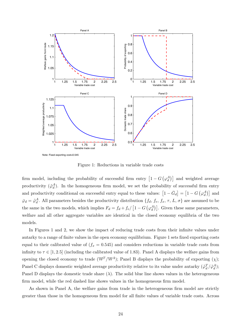

Figure 1: Reductions in variable trade costs

firm model, including the probability of successful firm entry  $\left[1-G\left(\varphi_d^A\right)\right]$  and weighted average productivity  $({\tilde{\varphi}}_d^A)$ . In the homogeneous firm model, we set the probability of successful firm entry and productivity conditional on successful entry equal to these values:  $[1 - \bar{G}_d] = [1 - G(\varphi_d^A)]$  and  $\bar{\varphi}_d = \tilde{\varphi}_d^A$ . All parameters besides the productivity distribution  $\{f_d, f_e, f_x, \tau, L, \sigma\}$  are assumed to be the same in the two models, which implies  $F_d = f_d + f_e / [1 - G(\varphi_d^A)]$ . Given these same parameters, welfare and all other aggregate variables are identical in the closed economy equilibria of the two models.

In Figures 1 and 2, we show the impact of reducing trade costs from their infinite values under autarky to a range of finite values in the open economy equilibrium. Figure 1 sets fixed exporting costs equal to their calibrated value of  $(f_x = 0.545)$  and considers reductions in variable trade costs from infinity to  $\tau \in [1, 2.5]$  (including the calibrated value of 1.83). Panel A displays the welfare gains from opening the closed economy to trade ( $\mathbb{W}^T/\mathbb{W}^A$ ); Panel B displays the probability of exporting  $(\chi)$ ; Panel C displays domestic weighted average productivity relative to its value under autarky  $(\tilde{\varphi}_d^T/\tilde{\varphi}_d^A)$ ; Panel D displays the domestic trade share  $(\lambda)$ . The solid blue line shows values in the heterogeneous firm model, while the red dashed line shows values in the homogeneous firm model.

As shown in Panel A, the welfare gains from trade in the heterogeneous firm model are strictly greater than those in the homogeneous firm model for all finite values of variable trade costs. Across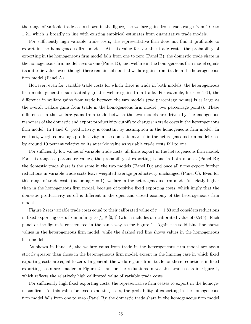the range of variable trade costs shown in the figure, the welfare gains from trade range from 1.00 to 1.21, which is broadly in line with existing empirical estimates from quantitative trade models.

For sufficiently high variable trade costs, the representative firm does not find it profitable to export in the homogeneous firm model. At this value for variable trade costs, the probability of exporting in the homogeneous firm model falls from one to zero (Panel B); the domestic trade share in the homogeneous firm model rises to one (Panel D); and welfare in the homogeneous firm model equals its autarkic value, even though there remain substantial welfare gains from trade in the heterogeneous firm model (Panel A).

However, even for variable trade costs for which there is trade in both models, the heterogeneous firm model generates substantially greater welfare gains from trade. For example, for  $\tau = 1.60$ , the difference in welfare gains from trade between the two models (two percentage points) is as large as the overall welfare gains from trade in the homogeneous firm model (two percentage points). These differences in the welfare gains from trade between the two models are driven by the endogenous responses of the domestic and export productivity cutoffs to changes in trade costs in the heterogeneous firm model. In Panel C, productivity is constant by assumption in the homogeneous firm model. In contrast, weighted average productivity in the domestic market in the heterogeneous firm model rises by around 10 percent relative to its autarkic value as variable trade costs fall to one.

For sufficiently low values of variable trade costs, all firms export in the heterogeneous firm model. For this range of parameter values, the probability of exporting is one in both models (Panel B); the domestic trade share is the same in the two models (Panel D); and once all firms export further reductions in variable trade costs leave weighted average productivity unchanged (Panel C). Even for this range of trade costs (including  $\tau = 1$ ), welfare in the heterogeneous firm model is strictly higher than in the homogeneous firm model, because of positive fixed exporting costs, which imply that the domestic productivity cutoff is different in the open and closed economy of the heterogeneous firm model.

Figure 2 sets variable trade costs equal to their calibrated value of  $\tau = 1.83$  and considers reductions in fixed exporting costs from infinity to  $f_x \in [0,1]$  (which includes our calibrated value of 0.545). Each panel of the figure is constructed in the same way as for Figure 1. Again the solid blue line shows values in the heterogeneous firm model, while the dashed red line shows values in the homogeneous firm model.

As shown in Panel A, the welfare gains from trade in the heterogeneous firm model are again strictly greater than those in the heterogeneous firm model, except in the limiting case in which fixed exporting costs are equal to zero. In general, the welfare gains from trade for these reductions in fixed exporting costs are smaller in Figure 2 than for the reductions in variable trade costs in Figure 1, which reflects the relatively high calibrated value of variable trade costs.

For sufficiently high fixed exporting costs, the representative firm ceases to export in the homogeneous firm. At this value for fixed exporting costs, the probability of exporting in the homogeneous firm model falls from one to zero (Panel B); the domestic trade share in the homogeneous firm model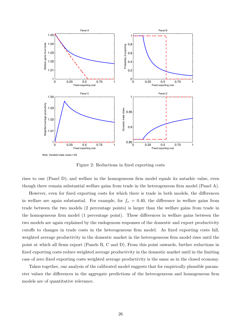

Figure 2: Reductions in fixed exporting costs

rises to one (Panel D); and welfare in the homogeneous firm model equals its autarkic value, even though there remain substantial welfare gains from trade in the heterogeneous firm model (Panel A).

However, even for fixed exporting costs for which there is trade in both models, the differences in welfare are again substantial. For example, for  $f_x = 0.40$ , the difference in welfare gains from trade between the two models (2 percentage points) is larger than the welfare gains from trade in the homogeneous firm model (1 percentage point). These differences in welfare gains between the two models are again explained by the endogenous responses of the domestic and export productivity cutoffs to changes in trade costs in the heterogeneous firm model. As fixed exporting costs fall, weighted average productivity in the domestic market in the heterogeneous firm model rises until the point at which all firms export (Panels B, C and D). From this point onwards, further reductions in fixed exporting costs reduce weighted average productivity in the domestic market until in the limiting case of zero fixed exporting costs weighted average productivity is the same as in the closed economy.

Taken together, our analysis of the calibrated model suggests that for empirically plausible parameter values the differences in the aggregate predictions of the heterogeneous and homogeneous firm models are of quantitative relevance.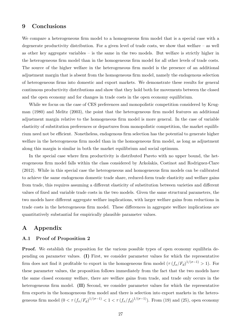### 9 Conclusions

We compare a heterogeneous firm model to a homogeneous firm model that is a special case with a degenerate productivity distribution. For a given level of trade costs, we show that welfare – as well as other key aggregate variables – is the same in the two models. But welfare is strictly higher in the heterogeneous firm model than in the homogeneous firm model for all other levels of trade costs. The source of the higher welfare in the heterogeneous firm model is the presence of an additional adjustment margin that is absent from the homogeneous firm model, namely the endogenous selection of heterogeneous firms into domestic and export markets. We demonstrate these results for general continuous productivity distributions and show that they hold both for movements between the closed and the open economy and for changes in trade costs in the open economy equilibrium.

While we focus on the case of CES preferences and monopolistic competition considered by Krugman (1980) and Melitz (2003), the point that the heterogeneous firm model features an additional adjustment margin relative to the homogeneous firm model is more general. In the case of variable elasticity of substitution preferences or departures from monopolistic competition, the market equilibrium need not be efficient. Nonetheless, endogenous firm selection has the potential to generate higher welfare in the heterogeneous firm model than in the homogeneous firm model, as long as adjustment along this margin is similar in both the market equilibrium and social optimum.

In the special case where firm productivity is distributed Pareto with no upper bound, the heterogeneous firm model falls within the class considered by Arkolakis, Costinot and Rodriguez-Clare (2012). While in this special case the heterogeneous and homogeneous firm models can be calibrated to achieve the same endogenous domestic trade share, reduced-form trade elasticity and welfare gains from trade, this requires assuming a different elasticity of substitution between varieties and different values of fixed and variable trade costs in the two models. Given the same structural parameters, the two models have different aggregate welfare implications, with larger welfare gains from reductions in trade costs in the heterogeneous firm model. These differences in aggregate welfare implications are quantitatively substantial for empirically plausible parameter values.

# A Appendix

#### A.1 Proof of Proposition 2

**Proof.** We establish the proposition for the various possible types of open economy equilibria depending on parameter values. (I) First, we consider parameter values for which the representative firm does not find it profitable to export in the homogeneous firm model  $(\tau (f_x/F_d)^{1/(\sigma-1)} > 1)$ . For these parameter values, the proposition follows immediately from the fact that the two models have the same closed economy welfare, there are welfare gains from trade, and trade only occurs in the heterogeneous firm model. **(II)** Second, we consider parameter values for which the representative firm exports in the homogeneous firm model and there is selection into export markets in the heterogeneous firm model  $(0 < \tau (f_x/F_d)^{1/(\sigma-1)} < 1 < \tau (f_x/f_d)^{1/(\sigma-1)})$ . From (19) and (25), open economy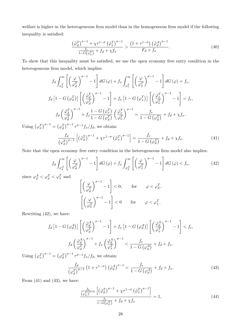welfare is higher in the heterogeneous firm model than in the homogeneous firm model if the following inequality is satisfied:

$$
\frac{\left(\tilde{\varphi}_d^T\right)^{\sigma-1} + \chi \tau^{1-\sigma} \left(\tilde{\varphi}_x^T\right)^{\sigma-1}}{\frac{f_e}{1-G(\varphi_d^T)} + f_d + \chi f_x} > \frac{\left(1 + \tau^{1-\sigma}\right) \left(\tilde{\varphi}_d^A\right)^{\sigma-1}}{F_d + f_x}.
$$
\n(40)

To show that this inequality must be satisfied, we use the open economy free entry condition in the heterogeneous firm model, which implies:

$$
f_d \int_{\varphi_d^T}^{\infty} \left[ \left( \frac{\varphi}{\varphi_d^T} \right)^{\sigma - 1} - 1 \right] dG \left( \varphi \right) + f_x \int_{\varphi_x^T}^{\infty} \left[ \left( \frac{\varphi}{\varphi_x^T} \right)^{\sigma - 1} - 1 \right] dG \left( \varphi \right) = f_e,
$$
  
\n
$$
f_d \left[ 1 - G \left( \varphi_d^T \right) \right] \left[ \left( \frac{\tilde{\varphi}_d^T}{\varphi_d^T} \right)^{\sigma - 1} - 1 \right] + f_x \left[ 1 - G \left( \varphi_x^T \right) \right] \left[ \left( \frac{\tilde{\varphi}_x^T}{\varphi_x^T} \right)^{\sigma - 1} - 1 \right] = f_e,
$$
  
\n
$$
f_d \left( \frac{\tilde{\varphi}_d^T}{\varphi_d^T} \right)^{\sigma - 1} + f_x \frac{1 - G \left( \varphi_x^T \right)}{1 - G \left( \varphi_d^T \right)} \left( \frac{\tilde{\varphi}_x^T}{\varphi_x^T} \right)^{\sigma - 1} = \frac{f_e}{1 - G \left( \varphi_d^T \right)} + f_d + \chi f_x.
$$

Using  $(\varphi_x^T)^{\sigma-1} = (\varphi_d^T)^{\sigma-1} \tau^{\sigma-1} f_x/f_d$ , we obtain:

$$
\frac{f_d}{(\varphi_d^T)^{\sigma-1}} \left[ \left(\tilde{\varphi}_d^T\right)^{\sigma-1} + \chi \tau^{1-\sigma} \left(\tilde{\varphi}_x^T\right)^{\sigma-1} \right] = \frac{f_e}{1 - G\left(\varphi_d^T\right)} + f_d + \chi f_x. \tag{41}
$$

Note that the open economy free entry condition in the heterogeneous firm model also implies:

$$
f_d \int_{\varphi_d^A}^{\infty} \left[ \left( \frac{\varphi}{\varphi_d^T} \right)^{\sigma - 1} - 1 \right] dG \left( \varphi \right) + f_x \int_{\varphi_d^A}^{\infty} \left[ \left( \frac{\varphi}{\varphi_x^T} \right)^{\sigma - 1} - 1 \right] dG \left( \varphi \right) < f_e,\tag{42}
$$

since  $\varphi_d^A < \varphi_d^T < \varphi_x^T$  and

$$
\begin{aligned} &\left[\left(\frac{\varphi}{\varphi_d^T}\right)^{\sigma-1}-1\right]<0,\qquad\text{for}\qquad\varphi<\varphi_d^T,\\ &\left[\left(\frac{\varphi}{\varphi_x^T}\right)^{\sigma-1}-1\right]<0\qquad\text{for}\qquad\varphi<\varphi_x^T. \end{aligned}
$$

Rewriting (42), we have:

$$
f_d \left[1 - G\left(\varphi_d^A\right)\right] \left[ \left(\frac{\tilde{\varphi}_d^A}{\varphi_d^T}\right)^{\sigma - 1} - 1 \right] + f_x \left[1 - G\left(\varphi_d^A\right)\right] \left[ \left(\frac{\tilde{\varphi}_d^A}{\varphi_x^T}\right)^{\sigma - 1} - 1 \right] < f_e,
$$
\n
$$
f_d \left(\frac{\tilde{\varphi}_d^A}{\varphi_d^T}\right)^{\sigma - 1} + f_x \left(\frac{\tilde{\varphi}_d^A}{\varphi_x^T}\right)^{\sigma - 1} < \frac{f_e}{1 - G\left(\varphi_d^A\right)} + f_d + f_x.
$$

Using  $(\varphi_x^T)^{\sigma-1} = (\varphi_d^T)^{\sigma-1} \tau^{\sigma-1} f_x/f_d$ , we obtain:

$$
\frac{f_d}{\left(\varphi_d^T\right)^{\sigma-1}}\left(1+\tau^{1-\sigma}\right)\left(\tilde{\varphi}_d^A\right)^{\sigma-1} < \frac{f_e}{1-G\left(\varphi_d^A\right)} + f_d + f_x. \tag{43}
$$

From  $(41)$  and  $(43)$ , we have:

$$
\frac{\frac{f_d}{(\varphi_d^T)^{\sigma-1}} \left[ \left( \tilde{\varphi}_d^T \right)^{\sigma-1} + \chi \tau^{1-\sigma} \left( \tilde{\varphi}_x^T \right)^{\sigma-1} \right]}{\frac{f_e}{1-G(\varphi_d^T)} + f_d + \chi f_x} = 1,
$$
\n(44)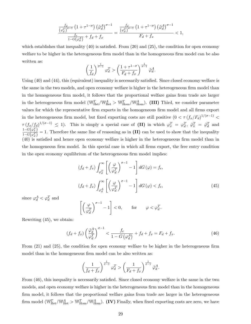$$
\frac{\frac{f_d}{\left(\varphi_d^T\right)^{\sigma-1}}\left(1+\tau^{1-\sigma}\right)\left(\tilde{\varphi}_d^A\right)^{\sigma-1}}{\frac{f_e}{1-G\left(\varphi_d^A\right)}+f_d+f_x} = \frac{\frac{f_d}{\left(\varphi_d^T\right)^{\sigma-1}}\left(1+\tau^{1-\sigma}\right)\left(\tilde{\varphi}_d^A\right)^{\sigma-1}}{F_d+f_x} < 1,
$$

which establishes that inequality  $(40)$  is satisfied. From  $(20)$  and  $(25)$ , the condition for open economy welfare to be higher in the heterogeneous firm model than in the homogeneous firm model can be also written as:

$$
\left(\frac{1}{f_d}\right)^{\frac{1}{\sigma-1}} \varphi_d^T > \left(\frac{1+\tau^{1-\sigma}}{F_d+f_x}\right)^{\frac{1}{\sigma-1}} \tilde{\varphi}_d^A.
$$

Using (40) and (44), this (equivalent) inequality is necessarily satisfied. Since closed economy welfare is the same in the two models, and open economy welfare is higher in the heterogeneous firm model than in the homogeneous firm model, it follows that the proportional welfare gains from trade are larger in the heterogeneous firm model ( $\mathbb{W}_{\text{Het}}^T/\mathbb{W}_{\text{Het}}^A$  >  $\mathbb{W}_{\text{Hom}}^T/\mathbb{W}_{\text{Hom}}^A$ ). (III) Third, we consider parameter values for which the representative firm exports in the homogeneous firm model and all firms export in the heterogeneous firm model, but fixed exporting costs are still positive  $(0 < \tau (f_x/F_d)^{1/(\sigma-1)}$  $\tau (f_x/f_d)^{1/(\sigma-1)} \leq 1$ . This is simply a special case of (II) in which  $\varphi_x^T = \varphi_d^T$ ,  $\tilde{\varphi}_x^T = \tilde{\varphi}_d^T$  and  $1-G(\varphi_x^T)$  $\frac{1-G(\varphi x)}{1-G(\varphi x)} = 1$ . Therefore the same line of reasoning as in (II) can be used to show that the inequality (40) is satisfied and hence open economy welfare is higher in the heterogeneous firm model than in the homogeneous firm model. In this special case in which all firms export, the free entry condition in the open economy equilibrium of the heterogeneous firm model implies:

$$
(f_d + f_x) \int_{\varphi_d^T}^{\infty} \left[ \left( \frac{\varphi}{\varphi_d^T} \right)^{\sigma - 1} - 1 \right] dG \left( \varphi \right) = f_e,
$$
  

$$
(f_d + f_x) \int_{\varphi_d^A}^{\infty} \left[ \left( \frac{\varphi}{\varphi_d^T} \right)^{\sigma - 1} - 1 \right] dG \left( \varphi \right) < f_e,
$$
 (45)

since  $\varphi_d^A < \varphi_d^T$  and

$$
\left[ \left( \frac{\varphi}{\varphi_d^T} \right)^{\sigma - 1} - 1 \right] < 0, \qquad \text{for} \qquad \varphi < \varphi_d^T.
$$

Rewriting (45), we obtain:

$$
(f_d + f_x) \left(\frac{\tilde{\varphi}_d^A}{\varphi_d^T}\right)^{\sigma - 1} < \frac{f_e}{1 - G\left(\varphi_d^A\right)} + f_d + f_x = F_d + f_x. \tag{46}
$$

From (21) and (25), the condition for open economy welfare to be higher in the heterogeneous firm model than in the homogeneous firm model can be also written as:

$$
\left(\frac{1}{f_d+f_x}\right)^{\frac{1}{\sigma-1}}\varphi_d^T > \left(\frac{1}{F_d+f_x}\right)^{\frac{1}{\sigma-1}}\tilde{\varphi}_d^A.
$$

From (46), this inequality is necessarily satisfied. Since closed economy welfare is the same in the two models, and open economy welfare is higher in the heterogeneous firm model than in the homogeneous firm model, it follows that the proportional welfare gains from trade are larger in the heterogeneous firm model ( $\mathbb{W}_{\text{Het}}^T/\mathbb{W}_{\text{Het}}^A$  >  $\mathbb{W}_{\text{Hom}}^T/\mathbb{W}_{\text{Hom}}^A$ ). (IV) Finally, when fixed exporting costs are zero, we have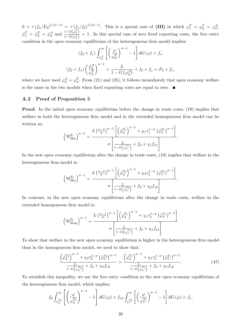$0 = \tau (f_x/F_d)^{1/(\sigma-1)} = \tau (f_x/f_d)^{1/(\sigma-1)}$ . This is a special case of (III) in which  $\varphi_x^T = \varphi_d^T = \varphi_d^A$ ,  $\tilde{\varphi}_x^T = \tilde{\varphi}_d^T = \tilde{\varphi}_d^A$  and  $\frac{1 - G(\varphi_x^T)}{1 - G(\varphi_x^T)}$  $\frac{1-G(\gamma x)}{1-G(\varphi^T_a)} = 1$ . In this special case of zero fixed exporting costs, the free entry condition in the open economy equilibrium of the heterogeneous firm model implies:

$$
(f_d + f_x) \int_{\varphi_d^A}^{\infty} \left[ \left( \frac{\varphi}{\varphi_d^T} \right)^{\sigma - 1} - 1 \right] dG \left( \varphi \right) = f_e,
$$
  

$$
(f_d + f_x) \left( \frac{\tilde{\varphi}_d^A}{\varphi_d^T} \right)^{\sigma - 1} = \frac{f_e}{1 - G \left( \varphi_d^A \right)} + f_d + f_x = F_d + f_x,
$$

where we have used  $\varphi_d^A = \varphi_d^T$ . From (21) and (25), it follows immediately that open economy welfare is the same in the two models when fixed exporting costs are equal to zero.  $\blacksquare$ 

#### A.2 Proof of Proposition 5

**Proof.** In the initial open economy equilibrium before the change in trade costs, (19) implies that welfare in both the heterogeneous firm model and in the extended homogeneous firm model can be written as:

$$
\left(\mathbb{W}_{\text{Het}}^{T_1}\right)^{\sigma-1} = \frac{L\left(\frac{\sigma-1}{\sigma}\right)^{\sigma-1}\left[\left(\tilde{\varphi}_d^{T_1}\right)^{\sigma-1} + \chi_1 \tau_1^{1-\sigma} \left(\tilde{\varphi}_x^{T_1}\right)^{\sigma-1}\right]}{\sigma \left[\frac{f_e}{1-G\left(\varphi_d^{T_1}\right)} + f_d + \chi_1 f_{x1}\right]}.
$$

In the new open economy equilibrium after the change in trade costs, (19) implies that welfare in the heterogeneous firm model is:

$$
\left(\mathbb{W}_{\text{Het}}^{T_2}\right)^{\sigma-1} = \frac{L\left(\frac{\sigma-1}{\sigma}\right)^{\sigma-1}\left[\left(\tilde{\varphi}_d^{T_2}\right)^{\sigma-1} + \chi_2 \tau_2^{1-\sigma} \left(\tilde{\varphi}_x^{T_2}\right)^{\sigma-1}\right]}{\sigma \left[\frac{f_e}{1-G\left(\varphi_d^{T_2}\right)} + f_d + \chi_2 f_{x2}\right]}.
$$

In contrast, in the new open economy equilibrium after the change in trade costs, welfare in the extended homogeneous firm model is:

$$
\left(\mathbb{W}_{\text{Hom}}^{T_2}\right)^{\sigma-1} = \frac{L\left(\frac{\sigma-1}{\sigma}\right)^{\sigma-1}\left[\left(\tilde{\varphi}_d^{T_1}\right)^{\sigma-1} + \chi_1 \tau_2^{1-\sigma} \left(\tilde{\varphi}_x^{T_1}\right)^{\sigma-1}\right]}{\sigma \left[\frac{f_e}{1-G\left(\varphi_d^{T_1}\right)} + f_d + \chi_1 f_{x2}\right]}
$$

To show that welfare in the new open economy equilibrium is higher in the heterogeneous firm model than in the homogeneous firm model, we need to show that:

$$
\frac{\left(\tilde{\varphi}_d^{T_2}\right)^{\sigma-1} + \chi_2 \tau_2^{1-\sigma} \left(\tilde{\varphi}_d^{T_2}\right)^{\sigma-1}}{1 - G\left(\varphi_d^{T_2}\right)} > \frac{\left(\tilde{\varphi}_d^{T_1}\right)^{\sigma-1} + \chi_1 \tau_2^{1-\sigma} \left(\tilde{\varphi}_x^{T_1}\right)^{\sigma-1}}{1 - G\left(\varphi_d^{T_1}\right)}.
$$
\n(47)

To establish this inequality, we use the free entry condition in the new open economy equilibrium of the heterogeneous firm model, which implies:

$$
f_d \int_{\varphi_d^{T_2}}^{\infty} \left[ \left( \frac{\varphi}{\varphi_d^{T_2}} \right)^{\sigma - 1} - 1 \right] dG \left( \varphi \right) + f_{x2} \int_{\varphi_x^{T_2}}^{\infty} \left[ \left( \frac{\varphi}{\varphi_x^{T_2}} \right)^{\sigma - 1} - 1 \right] dG \left( \varphi \right) = f_e,
$$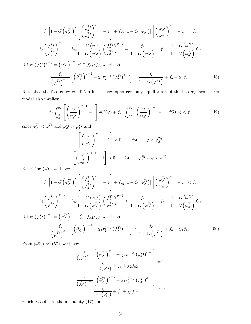$$
f_d\left[1-G\left(\varphi_d^{T_2}\right)\right] \left[\left(\frac{\tilde{\varphi}_d^{T_2}}{\varphi_d^{T_2}}\right)^{\sigma-1} - 1\right] + f_{x2}\left[1-G\left(\varphi_x^{T_2}\right)\right] \left[\left(\frac{\tilde{\varphi}_x^{T_2}}{\varphi_x^{T_2}}\right)^{\sigma-1} - 1\right] = f_e,
$$
\n
$$
f_d\left(\frac{\tilde{\varphi}_d^{T_2}}{\varphi_d^{T_2}}\right)^{\sigma-1} + f_{x2}\frac{1-G\left(\varphi_x^{T_2}\right)}{1-G\left(\varphi_d^{T_2}\right)} \left(\frac{\tilde{\varphi}_x^{T_2}}{\varphi_x^{T_2}}\right)^{\sigma-1} = \frac{f_e}{1-G\left(\varphi_d^{T_2}\right)} + f_d + \frac{1-G\left(\varphi_x^{T_2}\right)}{1-G\left(\varphi_d^{T_2}\right)} f_{x2}.
$$
\n
$$
\text{Using } \left(\varphi_x^{T_2}\right)^{\sigma-1} = \left(\varphi_d^{T_2}\right)^{\sigma-1} \tau_2^{\sigma-1} f_{x2} / f_d, \text{ we obtain:}
$$
\n
$$
\frac{f_d}{\left(\varphi_d^{T_2}\right)^{\sigma-1}} \left[\left(\tilde{\varphi}_d^{T_2}\right)^{\sigma-1} + \chi_2 \tau_2^{1-\sigma} \left(\tilde{\varphi}_x^{T_2}\right)^{\sigma-1}\right] = \frac{f_e}{1-G\left(\varphi_d^{T_2}\right)} + f_d + \chi_2 f_{x2}.
$$
\n
$$
(48)
$$

Note that the free entry condition in the new open economy equilibrium of the heterogeneous firm model also implies:

$$
f_d \int_{\varphi_d^{T_1}}^{\infty} \left[ \left( \frac{\varphi}{\varphi_d^{T_2}} \right)^{\sigma - 1} - 1 \right] dG \left( \varphi \right) + f_{x2} \int_{\varphi_x^{T_1}}^{\infty} \left[ \left( \frac{\varphi}{\varphi_x^{T_2}} \right)^{\sigma - 1} - 1 \right] dG \left( \varphi \right) < f_e,\tag{49}
$$

since  $\varphi_d^{T_1} < \varphi_d^{T_2}$  and  $\varphi_x^{T_1} > \varphi_x^{T_2}$  and

$$
\left[\left(\frac{\varphi}{\varphi_d^{T_2}}\right)^{\sigma-1} - 1\right] < 0, \qquad \text{for} \qquad \varphi < \varphi_d^{T_2},
$$
\n
$$
\left[\left(\frac{\varphi}{\varphi_x^{T_2}}\right)^{\sigma-1} - 1\right] > 0 \qquad \text{for} \qquad \varphi_x^{T_2} < \varphi < \varphi_x^{T_1}.
$$

Rewriting (49), we have:

$$
f_d\left[1-G\left(\varphi_d^{T_1}\right)\right] \left[\left(\frac{\tilde{\varphi}_d^{T_1}}{\varphi_d^{T_2}}\right)^{\sigma-1} - 1\right] + f_{x_2}\left[1-G\left(\varphi_x^{T_1}\right)\right] \left[\left(\frac{\tilde{\varphi}_x^{T_1}}{\varphi_x^{T_2}}\right)^{\sigma-1} - 1\right] < f_e,
$$
\n
$$
f_d\left(\frac{\tilde{\varphi}_d^{T_1}}{\varphi_d^{T_2}}\right)^{\sigma-1} + f_{x2}\frac{1-G\left(\varphi_x^{T_1}\right)}{1-G\left(\varphi_d^{T_1}\right)} \left(\frac{\tilde{\varphi}_x^{T_1}}{\varphi_x^{T_2}}\right)^{\sigma-1} < \frac{f_e}{1-G\left(\varphi_d^{T_1}\right)} + f_d + \frac{1-G\left(\varphi_x^{T_1}\right)}{1-G\left(\varphi_d^{T_1}\right)} f_{x2}.
$$
\n
$$
f_{\mathcal{D}}\left(\sigma^{-1} - \left(f_{\mathcal{D}}\right)^{\sigma-1} - \sigma^{-1}f_{\mathcal{D}}\left(f_{\mathcal{D}}\right)\right) \left(f_{\mathcal{D}}\right) + \left(f_{\mathcal{D}}\right)^{\sigma-1} \left(f_{\mathcal{D}}\right)^{\sigma-1} \left(f_{\mathcal{D}}\right)^{\sigma-1}.
$$

Using  $(\varphi_x^{T_2})^{\sigma-1} = (\varphi_d^{T_2})$  $\int_0^{\sigma-1} \tau_2^{\sigma-1} f_{x2}/f_d$ , we obtain:

$$
\frac{f_d}{\left(\varphi_d^{T_2}\right)^{\sigma-1}}\left[\left(\tilde{\varphi}_d^{T_1}\right)^{\sigma-1} + \chi_1 \tau_2^{1-\sigma} \left(\tilde{\varphi}_x^{T_1}\right)^{\sigma-1}\right] < \frac{f_e}{1-G\left(\varphi_d^{T_1}\right)} + f_d + \chi_1 f_{x2}.\tag{50}
$$

From  $(48)$  and  $(50)$ , we have:

$$
\frac{\frac{f_d}{\left(\varphi_d^{T_2}\right)^{\sigma-1}}\left[\left(\tilde{\varphi}_d^{T_2}\right)^{\sigma-1} + \chi_2 \tau_2^{1-\sigma} \left(\tilde{\varphi}_x^{T_2}\right)^{\sigma-1}\right]}{\frac{f_e}{1-G\left(\varphi_d^{T_2}\right)} + f_d + \chi_2 f_{x2}} = 1,
$$
\n
$$
\frac{\frac{f_d}{\left(\varphi_d^{T_2}\right)^{\sigma-1}}\left[\left(\tilde{\varphi}_d^{T_1}\right)^{\sigma-1} + \chi_1 \tau_2^{1-\sigma} \left(\tilde{\varphi}_x^{T_1}\right)^{\sigma-1}\right]}{\frac{f_e}{1-G\left(\varphi_d^{T_1}\right)} + f_d + \chi_1 f_{x2}} < 1,
$$

which establishes the inequality (47).  $\blacksquare$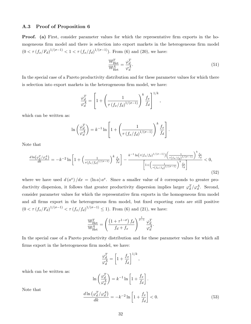#### A.3 Proof of Proposition 6

Proof. (a) First, consider parameter values for which the representative firm exports in the homogeneous firm model and there is selection into export markets in the heterogeneous firm model  $(0 < \tau (f_x/F_d)^{1/(\sigma-1)} < 1 < \tau (f_x/f_d)^{1/(\sigma-1)}$ . From (6) and (20), we have:

$$
\frac{\mathbb{W}_{\text{Het}}^T}{\mathbb{W}_{\text{Het}}^A} = \frac{\varphi_d^T}{\varphi_d^A}.
$$
\n(51)

In the special case of a Pareto productivity distribution and for these parameter values for which there is selection into export markets in the heterogeneous firm model, we have:

$$
\frac{\varphi_d^T}{\varphi_d^A} = \left[1 + \left(\frac{1}{\tau \left(f_x/f_d\right)^{1/(\sigma - 1)}}\right)^k \frac{f_x}{f_d}\right]^{1/k},
$$

which can be written as:

$$
\ln\left(\frac{\varphi_d^T}{\varphi_d^A}\right) = k^{-1} \ln\left[1 + \left(\frac{1}{\tau \left(f_x/f_d\right)^{1/(\sigma - 1)}}\right)^k \frac{f_x}{f_d}\right].
$$

Note that

$$
\frac{d\ln(\varphi_d^T/\varphi_d^A)}{dk} = -k^{-2}\ln\left[1 + \left(\frac{1}{\tau(f_x/f_d)^{1/(\sigma-1)}}\right)^k \frac{f_x}{f_d}\right] - \frac{k^{-1}\ln(\tau(f_x/f_d)^{1/(\sigma-1)})\left(\frac{1}{\tau(f_x/f_d)^{1/(\sigma-1)}}\right)^k \frac{f_x}{f_d}}{\left[1 + \left(\frac{1}{\tau(f_x/f_d)^{1/(\sigma-1)}}\right)^k \frac{f_x}{f_d}\right]} < 0,
$$
\n(52)

where we have used  $d(a^x)/dx = (\ln a)a^x$ . Since a smaller value of *k* corresponds to greater productivity dispersion, it follows that greater productivity dispersion implies larger  $\varphi_d^T/\varphi_d^A$ . Second, consider parameter values for which the representative firm exports in the homogeneous firm model and all firms export in the heterogeneous firm model, but fixed exporting costs are still positive  $(0 < \tau (f_x/F_d)^{1/(\sigma-1)} < \tau (f_x/f_d)^{1/(\sigma-1)} \le 1$ . From (6) and (21), we have:

$$
\frac{\mathbb{W}_{\text{Het}}^T}{\mathbb{W}_{\text{Het}}^A} = \left(\frac{\left(1 + \tau^{1-\sigma}\right)f_d}{f_d + f_x}\right)^{\frac{1}{\sigma-1}} \frac{\varphi_d^T}{\varphi_d^A}.
$$

In the special case of a Pareto productivity distribution and for these parameter values for which all firms export in the heterogeneous firm model, we have:

$$
\frac{\varphi_d^T}{\varphi_d^A} = \left[1 + \frac{f_x}{f_d}\right]^{1/k},
$$

which can be written as:

$$
\ln\left(\frac{\varphi_d^T}{\varphi_d^A}\right) = k^{-1} \ln\left[1 + \frac{f_x}{f_d}\right].
$$

Note that

$$
\frac{d\ln\left(\varphi_d^T/\varphi_d^A\right)}{dk} = -k^{-2}\ln\left[1 + \frac{f_x}{f_d}\right] < 0.\tag{53}
$$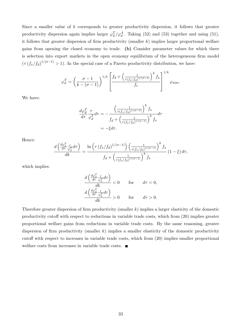Since a smaller value of *k* corresponds to greater productivity dispersion, it follows that greater productivity dispersion again implies larger  $\varphi_d^T/\varphi_d^A$ . Taking (52) and (53) together and using (51), it follows that greater dispersion of firm productivity (smaller *k*) implies larger proportional welfare gains from opening the closed economy to trade. (b) Consider parameter values for which there is selection into export markets in the open economy equilibrium of the heterogeneous firm model  $(\tau (f_x/f_d)^{1/(\sigma-1)} > 1)$ . In the special case of a Pareto productivity distribution, we have:

$$
\varphi_d^T = \left(\frac{\sigma - 1}{k - (\sigma - 1)}\right)^{1/k} \left[\frac{f_d + \left(\frac{1}{\tau(f_x/f_d)^{1/(\sigma - 1)}}\right)^k f_x}{f_e}\right]^{1/k} \varphi_{\min}.
$$

We have:

$$
\frac{d\varphi_d^T}{d\tau} \frac{\tau}{\varphi_d^T} d\tau = -\frac{\left(\frac{1}{\tau(f_x/f_d)^{1/(\sigma-1)}}\right)^k f_x}{f_d + \left(\frac{1}{\tau(f_x/f_d)^{1/(\sigma-1)}}\right)^k f_x} d\tau
$$

$$
= -\xi d\tau.
$$

Hence:

$$
\frac{d\left(\frac{d\varphi_d^T}{d\tau}\frac{\tau}{\varphi_d^T}d\tau\right)}{dk} = \frac{\ln\left(\tau\left(f_x/f_d\right)^{1/(\sigma-1)}\right)\left(\frac{1}{\tau\left(f_x/f_d\right)^{1/(\sigma-1)}}\right)^k f_x}{f_d + \left(\frac{1}{\tau\left(f_x/f_d\right)^{1/(\sigma-1)}}\right)^k f_x} (1-\xi) d\tau,
$$

which implies:

$$
\frac{d\left(\frac{d\varphi_d^T}{d\tau}\frac{\tau}{\varphi_d^T}d\tau\right)}{dk} < 0 \quad \text{for} \quad d\tau < 0, \\
\frac{d\left(\frac{d\varphi_d^T}{d\tau}\frac{\tau}{\varphi_d^T}d\tau\right)}{dk} > 0 \quad \text{for} \quad d\tau > 0.
$$

Therefore greater dispersion of firm productivity (smaller *k*) implies a larger elasticity of the domestic productivity cutoff with respect to reductions in variable trade costs, which from  $(20)$  implies greater proportional welfare gains from reductions in variable trade costs. By the same reasoning, greater dispersion of firm productivity (smaller *k*) implies a smaller elasticity of the domestic productivity cutoff with respect to increases in variable trade costs, which from  $(20)$  implies smaller proportional welfare costs from increases in variable trade costs.